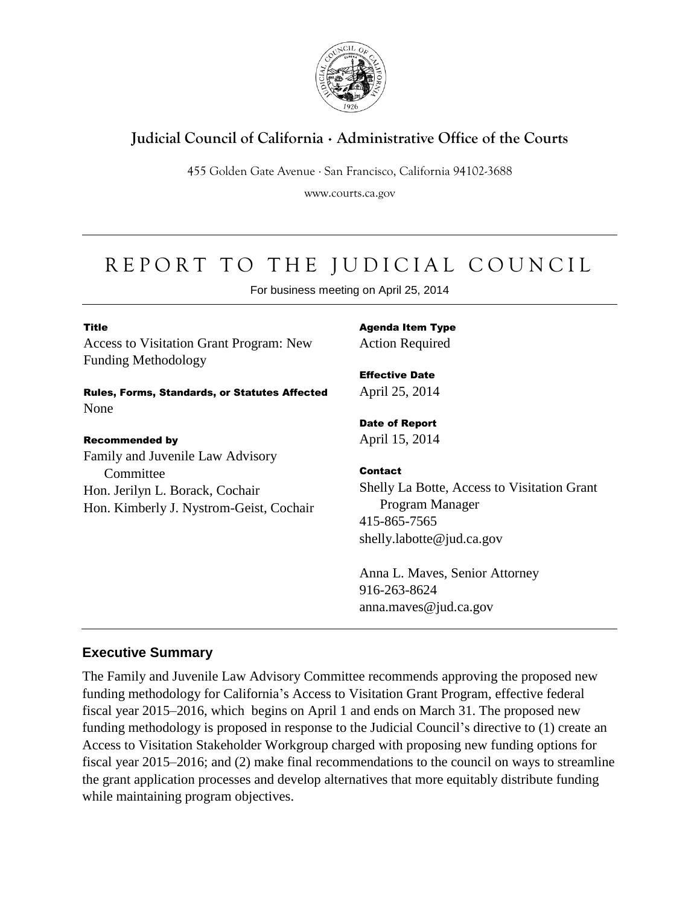

# **Judicial Council of California** . **Administrative Office of the Courts**

455 Golden Gate Avenue . San Francisco, California 94102-3688

www.courts.ca.gov

# REPORT TO THE JUDICIAL COUNCIL

For business meeting on April 25, 2014

| <b>Title</b>                                   |
|------------------------------------------------|
| <b>Access to Visitation Grant Program: New</b> |
| <b>Funding Methodology</b>                     |

Rules, Forms, Standards, or Statutes Affected None

#### Recommended by

Family and Juvenile Law Advisory **Committee** Hon. Jerilyn L. Borack, Cochair Hon. Kimberly J. Nystrom-Geist, Cochair Agenda Item Type Action Required

Effective Date April 25, 2014

Date of Report April 15, 2014

### Contact

Shelly La Botte, Access to Visitation Grant Program Manager 415-865-7565 shelly.labotte@jud.ca.gov

Anna L. Maves, Senior Attorney 916-263-8624 anna.maves@jud.ca.gov

## **Executive Summary**

The Family and Juvenile Law Advisory Committee recommends approving the proposed new funding methodology for California's Access to Visitation Grant Program, effective federal fiscal year 2015–2016, which begins on April 1 and ends on March 31. The proposed new funding methodology is proposed in response to the Judicial Council's directive to (1) create an Access to Visitation Stakeholder Workgroup charged with proposing new funding options for fiscal year 2015–2016; and (2) make final recommendations to the council on ways to streamline the grant application processes and develop alternatives that more equitably distribute funding while maintaining program objectives.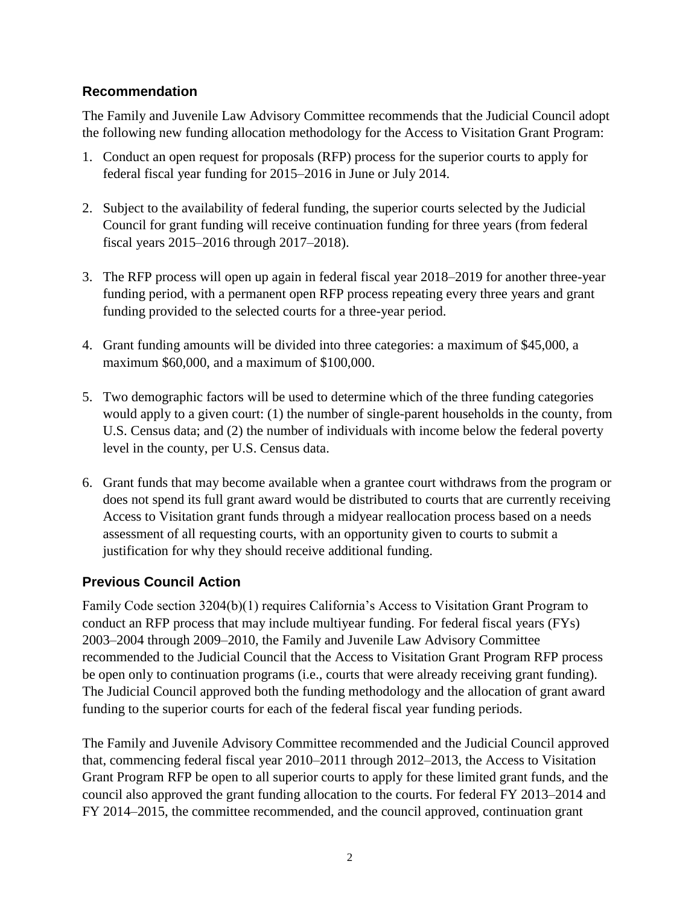## **Recommendation**

The Family and Juvenile Law Advisory Committee recommends that the Judicial Council adopt the following new funding allocation methodology for the Access to Visitation Grant Program:

- 1. Conduct an open request for proposals (RFP) process for the superior courts to apply for federal fiscal year funding for 2015–2016 in June or July 2014.
- 2. Subject to the availability of federal funding, the superior courts selected by the Judicial Council for grant funding will receive continuation funding for three years (from federal fiscal years 2015–2016 through 2017–2018).
- 3. The RFP process will open up again in federal fiscal year 2018–2019 for another three-year funding period, with a permanent open RFP process repeating every three years and grant funding provided to the selected courts for a three-year period.
- 4. Grant funding amounts will be divided into three categories: a maximum of \$45,000, a maximum \$60,000, and a maximum of \$100,000.
- 5. Two demographic factors will be used to determine which of the three funding categories would apply to a given court: (1) the number of single-parent households in the county, from U.S. Census data; and (2) the number of individuals with income below the federal poverty level in the county, per U.S. Census data.
- 6. Grant funds that may become available when a grantee court withdraws from the program or does not spend its full grant award would be distributed to courts that are currently receiving Access to Visitation grant funds through a midyear reallocation process based on a needs assessment of all requesting courts, with an opportunity given to courts to submit a justification for why they should receive additional funding.

## **Previous Council Action**

Family Code section 3204(b)(1) requires California's Access to Visitation Grant Program to conduct an RFP process that may include multiyear funding. For federal fiscal years (FYs) 2003–2004 through 2009–2010, the Family and Juvenile Law Advisory Committee recommended to the Judicial Council that the Access to Visitation Grant Program RFP process be open only to continuation programs (i.e., courts that were already receiving grant funding). The Judicial Council approved both the funding methodology and the allocation of grant award funding to the superior courts for each of the federal fiscal year funding periods.

The Family and Juvenile Advisory Committee recommended and the Judicial Council approved that, commencing federal fiscal year 2010–2011 through 2012–2013, the Access to Visitation Grant Program RFP be open to all superior courts to apply for these limited grant funds, and the council also approved the grant funding allocation to the courts. For federal FY 2013–2014 and FY 2014–2015, the committee recommended, and the council approved, continuation grant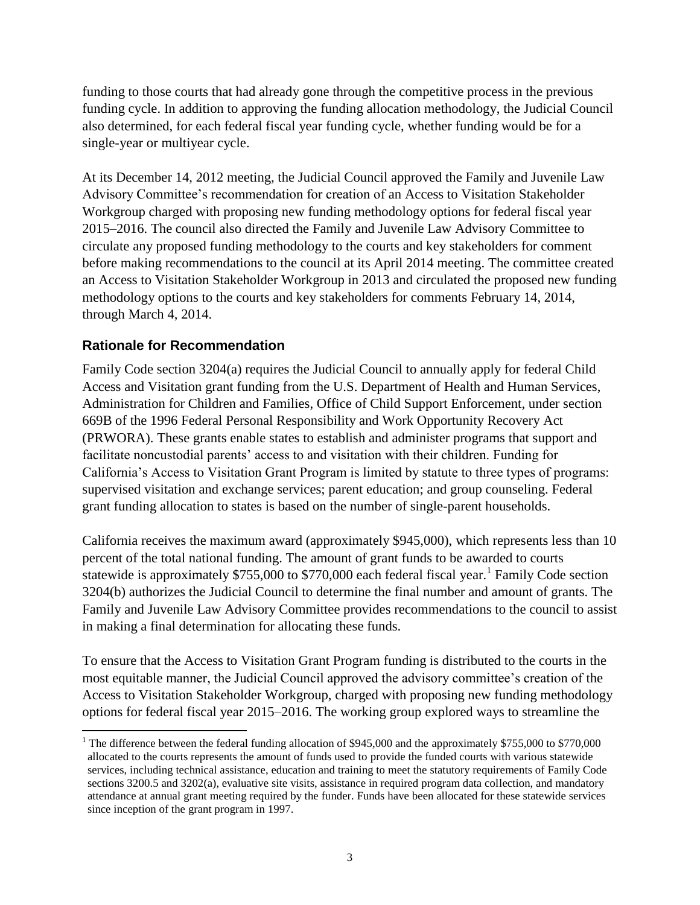funding to those courts that had already gone through the competitive process in the previous funding cycle. In addition to approving the funding allocation methodology, the Judicial Council also determined, for each federal fiscal year funding cycle, whether funding would be for a single-year or multiyear cycle.

At its December 14, 2012 meeting, the Judicial Council approved the Family and Juvenile Law Advisory Committee's recommendation for creation of an Access to Visitation Stakeholder Workgroup charged with proposing new funding methodology options for federal fiscal year 2015–2016. The council also directed the Family and Juvenile Law Advisory Committee to circulate any proposed funding methodology to the courts and key stakeholders for comment before making recommendations to the council at its April 2014 meeting. The committee created an Access to Visitation Stakeholder Workgroup in 2013 and circulated the proposed new funding methodology options to the courts and key stakeholders for comments February 14, 2014, through March 4, 2014.

## **Rationale for Recommendation**

 $\overline{a}$ 

Family Code section 3204(a) requires the Judicial Council to annually apply for federal Child Access and Visitation grant funding from the U.S. Department of Health and Human Services, Administration for Children and Families, Office of Child Support Enforcement, under section 669B of the 1996 Federal Personal Responsibility and Work Opportunity Recovery Act (PRWORA). These grants enable states to establish and administer programs that support and facilitate noncustodial parents' access to and visitation with their children. Funding for California's Access to Visitation Grant Program is limited by statute to three types of programs: supervised visitation and exchange services; parent education; and group counseling. Federal grant funding allocation to states is based on the number of single-parent households.

California receives the maximum award (approximately \$945,000), which represents less than 10 percent of the total national funding. The amount of grant funds to be awarded to courts statewide is approximately \$755,000 to \$770,000 each federal fiscal year.<sup>1</sup> Family Code section 3204(b) authorizes the Judicial Council to determine the final number and amount of grants. The Family and Juvenile Law Advisory Committee provides recommendations to the council to assist in making a final determination for allocating these funds.

To ensure that the Access to Visitation Grant Program funding is distributed to the courts in the most equitable manner, the Judicial Council approved the advisory committee's creation of the Access to Visitation Stakeholder Workgroup, charged with proposing new funding methodology options for federal fiscal year 2015–2016. The working group explored ways to streamline the

<sup>&</sup>lt;sup>1</sup> The difference between the federal funding allocation of \$945,000 and the approximately \$755,000 to \$770,000 allocated to the courts represents the amount of funds used to provide the funded courts with various statewide services, including technical assistance, education and training to meet the statutory requirements of Family Code sections 3200.5 and 3202(a), evaluative site visits, assistance in required program data collection, and mandatory attendance at annual grant meeting required by the funder. Funds have been allocated for these statewide services since inception of the grant program in 1997.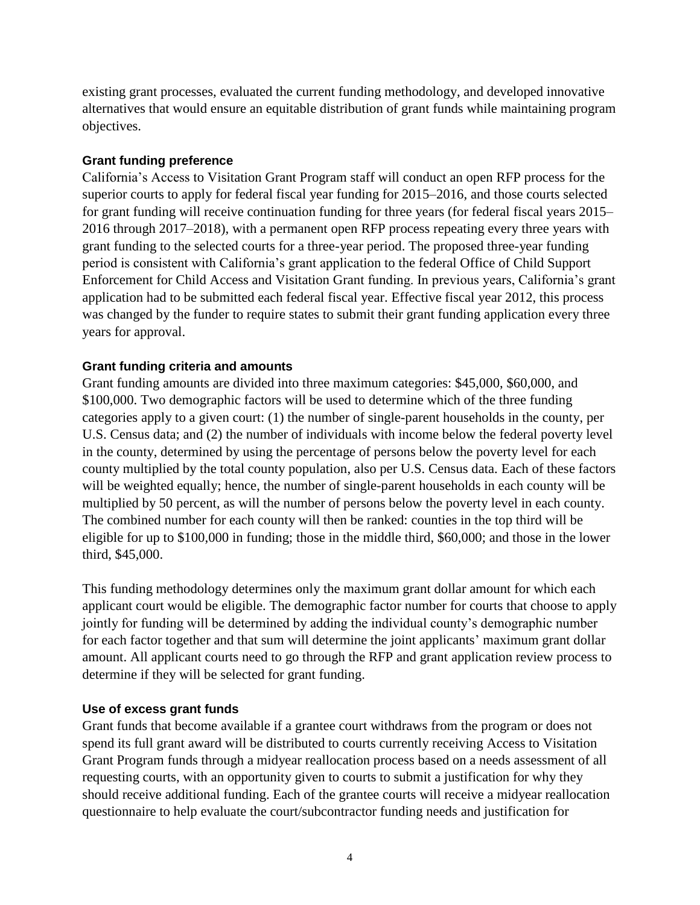existing grant processes, evaluated the current funding methodology, and developed innovative alternatives that would ensure an equitable distribution of grant funds while maintaining program objectives.

#### **Grant funding preference**

California's Access to Visitation Grant Program staff will conduct an open RFP process for the superior courts to apply for federal fiscal year funding for 2015–2016, and those courts selected for grant funding will receive continuation funding for three years (for federal fiscal years 2015– 2016 through 2017–2018), with a permanent open RFP process repeating every three years with grant funding to the selected courts for a three-year period. The proposed three-year funding period is consistent with California's grant application to the federal Office of Child Support Enforcement for Child Access and Visitation Grant funding. In previous years, California's grant application had to be submitted each federal fiscal year. Effective fiscal year 2012, this process was changed by the funder to require states to submit their grant funding application every three years for approval.

### **Grant funding criteria and amounts**

Grant funding amounts are divided into three maximum categories: \$45,000, \$60,000, and \$100,000. Two demographic factors will be used to determine which of the three funding categories apply to a given court: (1) the number of single-parent households in the county, per U.S. Census data; and (2) the number of individuals with income below the federal poverty level in the county, determined by using the percentage of persons below the poverty level for each county multiplied by the total county population, also per U.S. Census data. Each of these factors will be weighted equally; hence, the number of single-parent households in each county will be multiplied by 50 percent, as will the number of persons below the poverty level in each county. The combined number for each county will then be ranked: counties in the top third will be eligible for up to \$100,000 in funding; those in the middle third, \$60,000; and those in the lower third, \$45,000.

This funding methodology determines only the maximum grant dollar amount for which each applicant court would be eligible. The demographic factor number for courts that choose to apply jointly for funding will be determined by adding the individual county's demographic number for each factor together and that sum will determine the joint applicants' maximum grant dollar amount. All applicant courts need to go through the RFP and grant application review process to determine if they will be selected for grant funding.

#### **Use of excess grant funds**

Grant funds that become available if a grantee court withdraws from the program or does not spend its full grant award will be distributed to courts currently receiving Access to Visitation Grant Program funds through a midyear reallocation process based on a needs assessment of all requesting courts, with an opportunity given to courts to submit a justification for why they should receive additional funding. Each of the grantee courts will receive a midyear reallocation questionnaire to help evaluate the court/subcontractor funding needs and justification for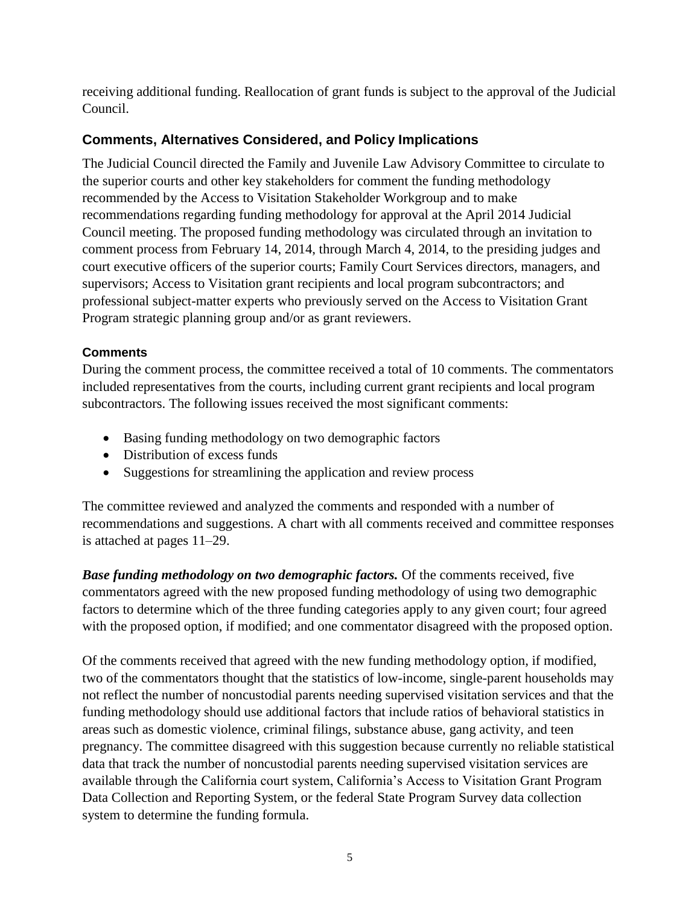receiving additional funding. Reallocation of grant funds is subject to the approval of the Judicial Council.

## **Comments, Alternatives Considered, and Policy Implications**

The Judicial Council directed the Family and Juvenile Law Advisory Committee to circulate to the superior courts and other key stakeholders for comment the funding methodology recommended by the Access to Visitation Stakeholder Workgroup and to make recommendations regarding funding methodology for approval at the April 2014 Judicial Council meeting. The proposed funding methodology was circulated through an invitation to comment process from February 14, 2014, through March 4, 2014, to the presiding judges and court executive officers of the superior courts; Family Court Services directors, managers, and supervisors; Access to Visitation grant recipients and local program subcontractors; and professional subject-matter experts who previously served on the Access to Visitation Grant Program strategic planning group and/or as grant reviewers.

## **Comments**

During the comment process, the committee received a total of 10 comments. The commentators included representatives from the courts, including current grant recipients and local program subcontractors. The following issues received the most significant comments:

- Basing funding methodology on two demographic factors
- Distribution of excess funds
- Suggestions for streamlining the application and review process

The committee reviewed and analyzed the comments and responded with a number of recommendations and suggestions. A chart with all comments received and committee responses is attached at pages 11–29.

*Base funding methodology on two demographic factors.* Of the comments received, five commentators agreed with the new proposed funding methodology of using two demographic factors to determine which of the three funding categories apply to any given court; four agreed with the proposed option, if modified; and one commentator disagreed with the proposed option.

Of the comments received that agreed with the new funding methodology option, if modified, two of the commentators thought that the statistics of low-income, single-parent households may not reflect the number of noncustodial parents needing supervised visitation services and that the funding methodology should use additional factors that include ratios of behavioral statistics in areas such as domestic violence, criminal filings, substance abuse, gang activity, and teen pregnancy. The committee disagreed with this suggestion because currently no reliable statistical data that track the number of noncustodial parents needing supervised visitation services are available through the California court system, California's Access to Visitation Grant Program Data Collection and Reporting System, or the federal State Program Survey data collection system to determine the funding formula.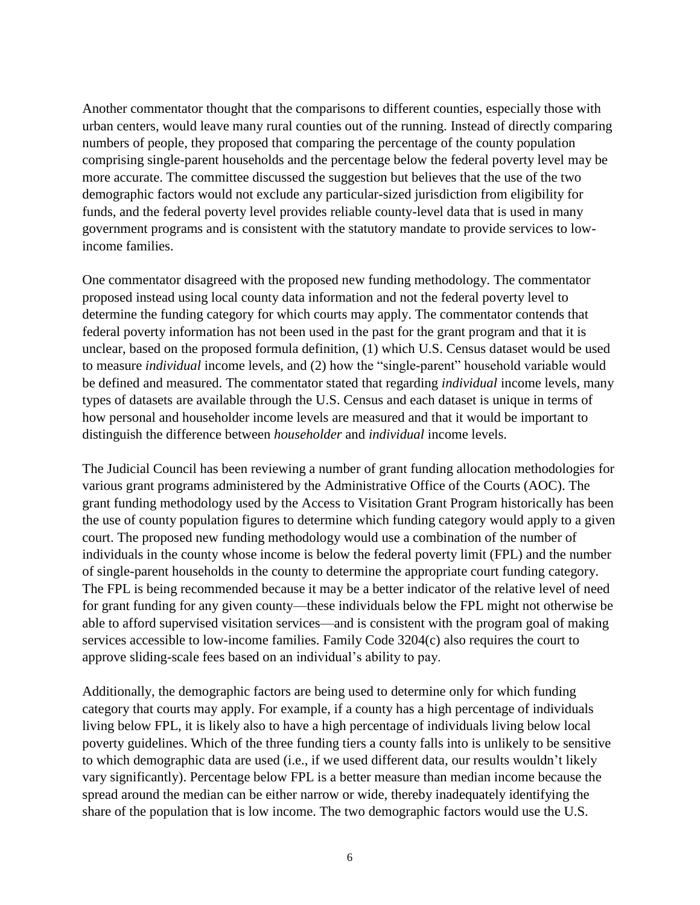Another commentator thought that the comparisons to different counties, especially those with urban centers, would leave many rural counties out of the running. Instead of directly comparing numbers of people, they proposed that comparing the percentage of the county population comprising single-parent households and the percentage below the federal poverty level may be more accurate. The committee discussed the suggestion but believes that the use of the two demographic factors would not exclude any particular-sized jurisdiction from eligibility for funds, and the federal poverty level provides reliable county-level data that is used in many government programs and is consistent with the statutory mandate to provide services to lowincome families.

One commentator disagreed with the proposed new funding methodology. The commentator proposed instead using local county data information and not the federal poverty level to determine the funding category for which courts may apply. The commentator contends that federal poverty information has not been used in the past for the grant program and that it is unclear, based on the proposed formula definition, (1) which U.S. Census dataset would be used to measure *individual* income levels, and (2) how the "single-parent" household variable would be defined and measured. The commentator stated that regarding *individual* income levels, many types of datasets are available through the U.S. Census and each dataset is unique in terms of how personal and householder income levels are measured and that it would be important to distinguish the difference between *householder* and *individual* income levels.

The Judicial Council has been reviewing a number of grant funding allocation methodologies for various grant programs administered by the Administrative Office of the Courts (AOC). The grant funding methodology used by the Access to Visitation Grant Program historically has been the use of county population figures to determine which funding category would apply to a given court. The proposed new funding methodology would use a combination of the number of individuals in the county whose income is below the federal poverty limit (FPL) and the number of single-parent households in the county to determine the appropriate court funding category. The FPL is being recommended because it may be a better indicator of the relative level of need for grant funding for any given county—these individuals below the FPL might not otherwise be able to afford supervised visitation services—and is consistent with the program goal of making services accessible to low-income families. Family Code 3204(c) also requires the court to approve sliding-scale fees based on an individual's ability to pay.

Additionally, the demographic factors are being used to determine only for which funding category that courts may apply. For example, if a county has a high percentage of individuals living below FPL, it is likely also to have a high percentage of individuals living below local poverty guidelines. Which of the three funding tiers a county falls into is unlikely to be sensitive to which demographic data are used (i.e., if we used different data, our results wouldn't likely vary significantly). Percentage below FPL is a better measure than median income because the spread around the median can be either narrow or wide, thereby inadequately identifying the share of the population that is low income. The two demographic factors would use the U.S.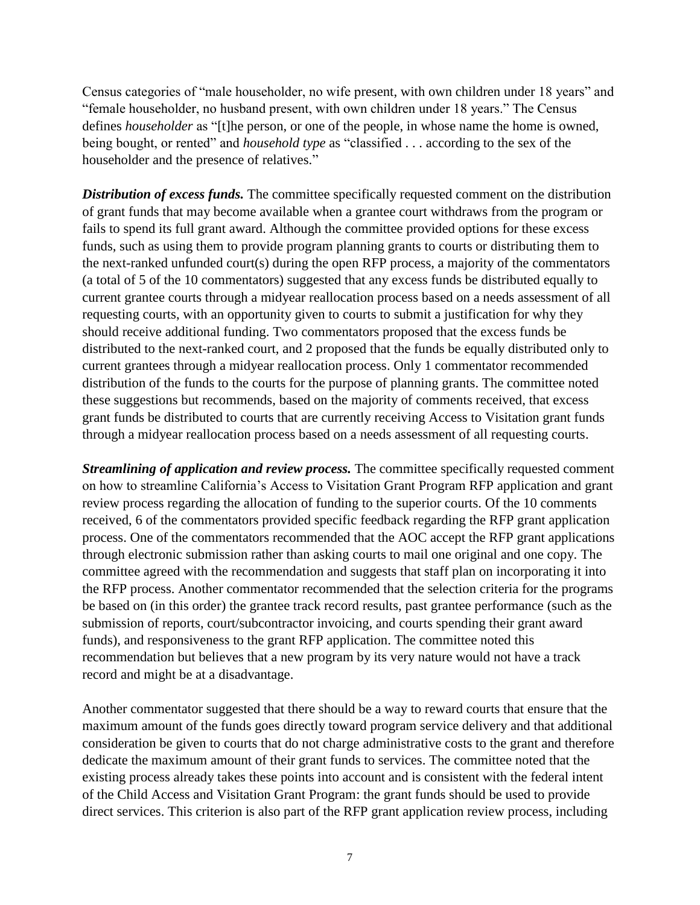Census categories of "male householder, no wife present, with own children under 18 years" and "female householder, no husband present, with own children under 18 years." The Census defines *householder* as "[t]he person, or one of the people, in whose name the home is owned, being bought, or rented" and *household type* as "classified . . . according to the sex of the householder and the presence of relatives."

**Distribution of excess funds.** The committee specifically requested comment on the distribution of grant funds that may become available when a grantee court withdraws from the program or fails to spend its full grant award. Although the committee provided options for these excess funds, such as using them to provide program planning grants to courts or distributing them to the next-ranked unfunded court(s) during the open RFP process, a majority of the commentators (a total of 5 of the 10 commentators) suggested that any excess funds be distributed equally to current grantee courts through a midyear reallocation process based on a needs assessment of all requesting courts, with an opportunity given to courts to submit a justification for why they should receive additional funding. Two commentators proposed that the excess funds be distributed to the next-ranked court, and 2 proposed that the funds be equally distributed only to current grantees through a midyear reallocation process. Only 1 commentator recommended distribution of the funds to the courts for the purpose of planning grants. The committee noted these suggestions but recommends, based on the majority of comments received, that excess grant funds be distributed to courts that are currently receiving Access to Visitation grant funds through a midyear reallocation process based on a needs assessment of all requesting courts.

*Streamlining of application and review process.* The committee specifically requested comment on how to streamline California's Access to Visitation Grant Program RFP application and grant review process regarding the allocation of funding to the superior courts. Of the 10 comments received, 6 of the commentators provided specific feedback regarding the RFP grant application process. One of the commentators recommended that the AOC accept the RFP grant applications through electronic submission rather than asking courts to mail one original and one copy. The committee agreed with the recommendation and suggests that staff plan on incorporating it into the RFP process. Another commentator recommended that the selection criteria for the programs be based on (in this order) the grantee track record results, past grantee performance (such as the submission of reports, court/subcontractor invoicing, and courts spending their grant award funds), and responsiveness to the grant RFP application. The committee noted this recommendation but believes that a new program by its very nature would not have a track record and might be at a disadvantage.

Another commentator suggested that there should be a way to reward courts that ensure that the maximum amount of the funds goes directly toward program service delivery and that additional consideration be given to courts that do not charge administrative costs to the grant and therefore dedicate the maximum amount of their grant funds to services. The committee noted that the existing process already takes these points into account and is consistent with the federal intent of the Child Access and Visitation Grant Program: the grant funds should be used to provide direct services. This criterion is also part of the RFP grant application review process, including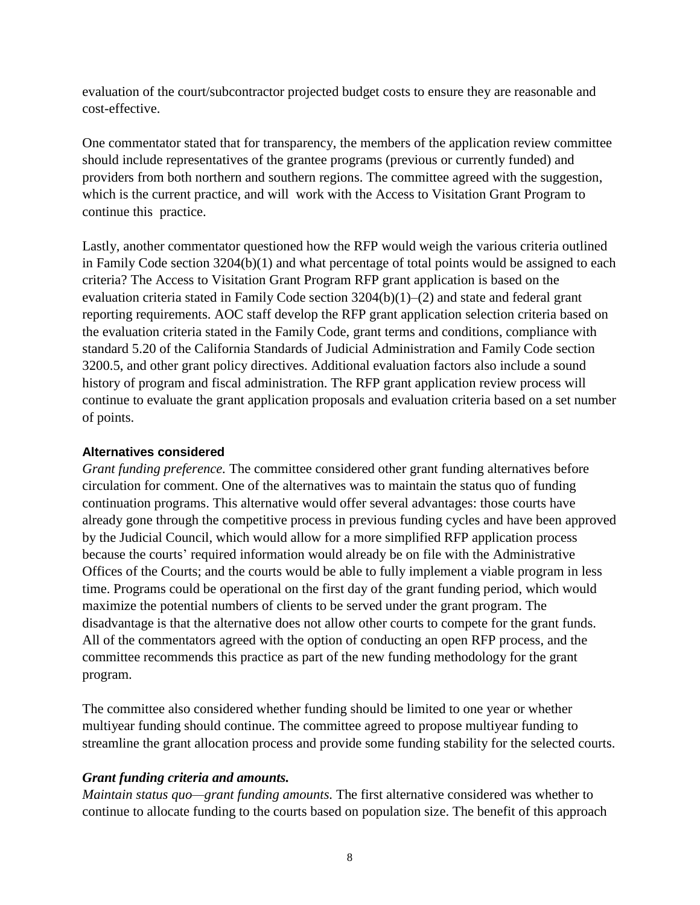evaluation of the court/subcontractor projected budget costs to ensure they are reasonable and cost-effective.

One commentator stated that for transparency, the members of the application review committee should include representatives of the grantee programs (previous or currently funded) and providers from both northern and southern regions. The committee agreed with the suggestion, which is the current practice, and will work with the Access to Visitation Grant Program to continue this practice.

Lastly, another commentator questioned how the RFP would weigh the various criteria outlined in Family Code section 3204(b)(1) and what percentage of total points would be assigned to each criteria? The Access to Visitation Grant Program RFP grant application is based on the evaluation criteria stated in Family Code section 3204(b)(1)–(2) and state and federal grant reporting requirements. AOC staff develop the RFP grant application selection criteria based on the evaluation criteria stated in the Family Code, grant terms and conditions, compliance with standard 5.20 of the California Standards of Judicial Administration and Family Code section 3200.5, and other grant policy directives. Additional evaluation factors also include a sound history of program and fiscal administration. The RFP grant application review process will continue to evaluate the grant application proposals and evaluation criteria based on a set number of points.

#### **Alternatives considered**

*Grant funding preference.* The committee considered other grant funding alternatives before circulation for comment. One of the alternatives was to maintain the status quo of funding continuation programs. This alternative would offer several advantages: those courts have already gone through the competitive process in previous funding cycles and have been approved by the Judicial Council, which would allow for a more simplified RFP application process because the courts' required information would already be on file with the Administrative Offices of the Courts; and the courts would be able to fully implement a viable program in less time. Programs could be operational on the first day of the grant funding period, which would maximize the potential numbers of clients to be served under the grant program. The disadvantage is that the alternative does not allow other courts to compete for the grant funds. All of the commentators agreed with the option of conducting an open RFP process, and the committee recommends this practice as part of the new funding methodology for the grant program.

The committee also considered whether funding should be limited to one year or whether multiyear funding should continue. The committee agreed to propose multiyear funding to streamline the grant allocation process and provide some funding stability for the selected courts.

### *Grant funding criteria and amounts.*

*Maintain status quo—grant funding amounts.* The first alternative considered was whether to continue to allocate funding to the courts based on population size. The benefit of this approach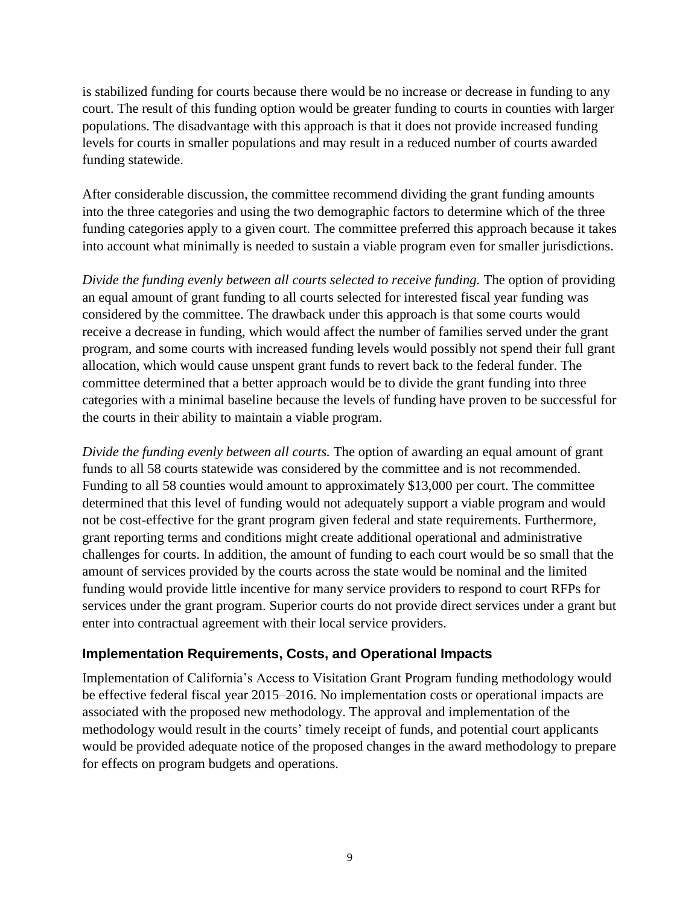is stabilized funding for courts because there would be no increase or decrease in funding to any court. The result of this funding option would be greater funding to courts in counties with larger populations. The disadvantage with this approach is that it does not provide increased funding levels for courts in smaller populations and may result in a reduced number of courts awarded funding statewide.

After considerable discussion, the committee recommend dividing the grant funding amounts into the three categories and using the two demographic factors to determine which of the three funding categories apply to a given court. The committee preferred this approach because it takes into account what minimally is needed to sustain a viable program even for smaller jurisdictions.

*Divide the funding evenly between all courts selected to receive funding.* The option of providing an equal amount of grant funding to all courts selected for interested fiscal year funding was considered by the committee. The drawback under this approach is that some courts would receive a decrease in funding, which would affect the number of families served under the grant program, and some courts with increased funding levels would possibly not spend their full grant allocation, which would cause unspent grant funds to revert back to the federal funder. The committee determined that a better approach would be to divide the grant funding into three categories with a minimal baseline because the levels of funding have proven to be successful for the courts in their ability to maintain a viable program.

*Divide the funding evenly between all courts.* The option of awarding an equal amount of grant funds to all 58 courts statewide was considered by the committee and is not recommended. Funding to all 58 counties would amount to approximately \$13,000 per court. The committee determined that this level of funding would not adequately support a viable program and would not be cost-effective for the grant program given federal and state requirements. Furthermore, grant reporting terms and conditions might create additional operational and administrative challenges for courts. In addition, the amount of funding to each court would be so small that the amount of services provided by the courts across the state would be nominal and the limited funding would provide little incentive for many service providers to respond to court RFPs for services under the grant program. Superior courts do not provide direct services under a grant but enter into contractual agreement with their local service providers.

### **Implementation Requirements, Costs, and Operational Impacts**

Implementation of California's Access to Visitation Grant Program funding methodology would be effective federal fiscal year 2015–2016. No implementation costs or operational impacts are associated with the proposed new methodology. The approval and implementation of the methodology would result in the courts' timely receipt of funds, and potential court applicants would be provided adequate notice of the proposed changes in the award methodology to prepare for effects on program budgets and operations.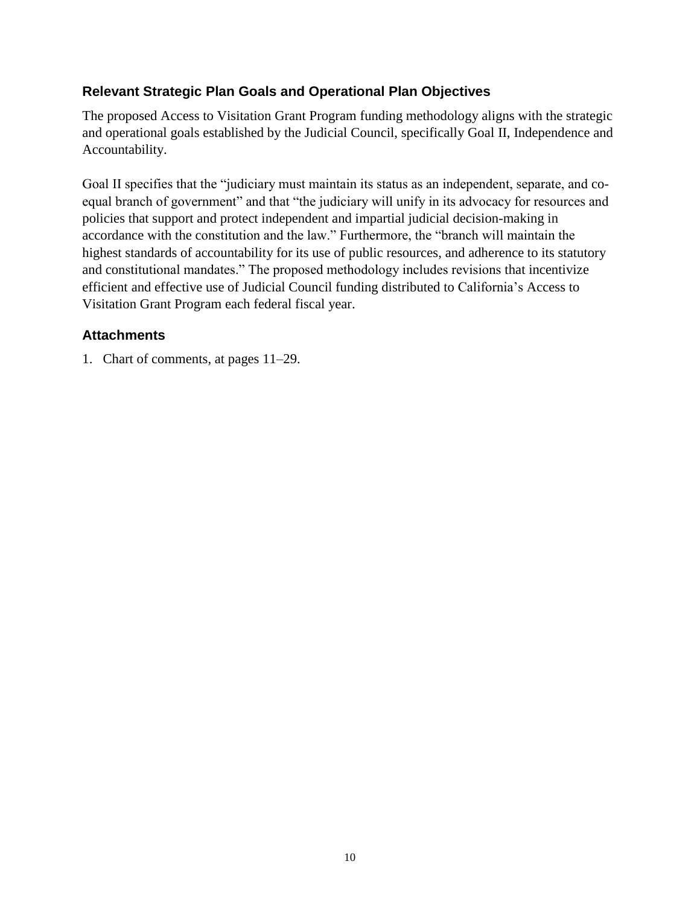## **Relevant Strategic Plan Goals and Operational Plan Objectives**

The proposed Access to Visitation Grant Program funding methodology aligns with the strategic and operational goals established by the Judicial Council, specifically Goal II, Independence and Accountability.

Goal II specifies that the "judiciary must maintain its status as an independent, separate, and coequal branch of government" and that "the judiciary will unify in its advocacy for resources and policies that support and protect independent and impartial judicial decision-making in accordance with the constitution and the law." Furthermore, the "branch will maintain the highest standards of accountability for its use of public resources, and adherence to its statutory and constitutional mandates." The proposed methodology includes revisions that incentivize efficient and effective use of Judicial Council funding distributed to California's Access to Visitation Grant Program each federal fiscal year.

## **Attachments**

1. Chart of comments, at pages 11–29.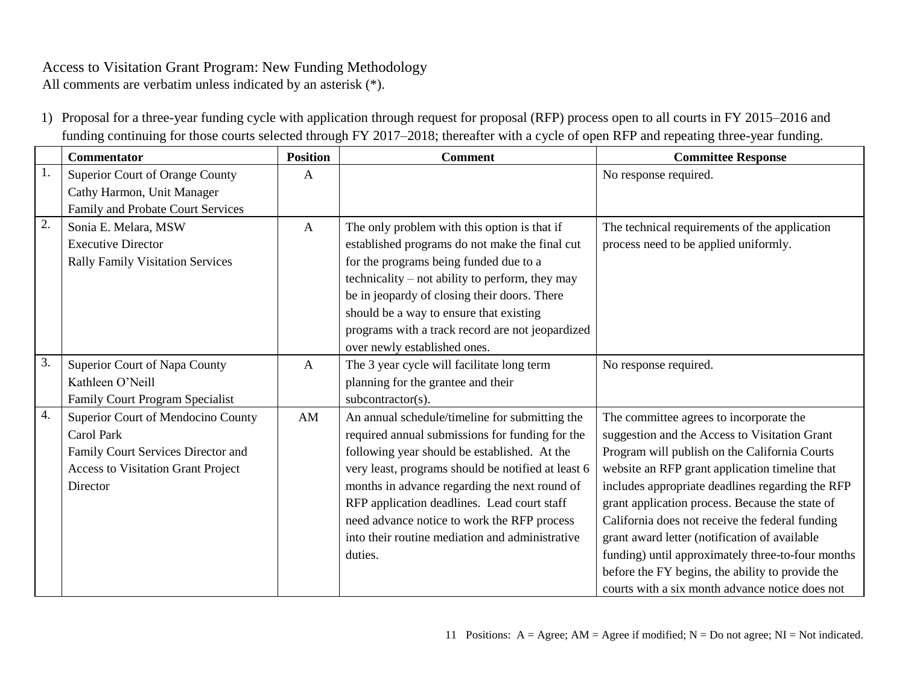All comments are verbatim unless indicated by an asterisk (\*).

1) Proposal for a three-year funding cycle with application through request for proposal (RFP) process open to all courts in FY 2015–2016 and funding continuing for those courts selected through FY 2017–2018; thereafter with a cycle of open RFP and repeating three-year funding.

|    | <b>Commentator</b>                        | <b>Position</b> | <b>Comment</b>                                     | <b>Committee Response</b>                         |
|----|-------------------------------------------|-----------------|----------------------------------------------------|---------------------------------------------------|
| 1. | Superior Court of Orange County           | A               |                                                    | No response required.                             |
|    | Cathy Harmon, Unit Manager                |                 |                                                    |                                                   |
|    | Family and Probate Court Services         |                 |                                                    |                                                   |
| 2. | Sonia E. Melara, MSW                      | $\mathbf{A}$    | The only problem with this option is that if       | The technical requirements of the application     |
|    | <b>Executive Director</b>                 |                 | established programs do not make the final cut     | process need to be applied uniformly.             |
|    | <b>Rally Family Visitation Services</b>   |                 | for the programs being funded due to a             |                                                   |
|    |                                           |                 | technicality – not ability to perform, they may    |                                                   |
|    |                                           |                 | be in jeopardy of closing their doors. There       |                                                   |
|    |                                           |                 | should be a way to ensure that existing            |                                                   |
|    |                                           |                 | programs with a track record are not jeopardized   |                                                   |
|    |                                           |                 | over newly established ones.                       |                                                   |
| 3. | Superior Court of Napa County             | $\mathbf{A}$    | The 3 year cycle will facilitate long term         | No response required.                             |
|    | Kathleen O'Neill                          |                 | planning for the grantee and their                 |                                                   |
|    | Family Court Program Specialist           |                 | subcontractor(s).                                  |                                                   |
| 4. | Superior Court of Mendocino County        | AM              | An annual schedule/timeline for submitting the     | The committee agrees to incorporate the           |
|    | <b>Carol Park</b>                         |                 | required annual submissions for funding for the    | suggestion and the Access to Visitation Grant     |
|    | Family Court Services Director and        |                 | following year should be established. At the       | Program will publish on the California Courts     |
|    | <b>Access to Visitation Grant Project</b> |                 | very least, programs should be notified at least 6 | website an RFP grant application timeline that    |
|    | Director                                  |                 | months in advance regarding the next round of      | includes appropriate deadlines regarding the RFP  |
|    |                                           |                 | RFP application deadlines. Lead court staff        | grant application process. Because the state of   |
|    |                                           |                 | need advance notice to work the RFP process        | California does not receive the federal funding   |
|    |                                           |                 | into their routine mediation and administrative    | grant award letter (notification of available     |
|    |                                           |                 | duties.                                            | funding) until approximately three-to-four months |
|    |                                           |                 |                                                    | before the FY begins, the ability to provide the  |
|    |                                           |                 |                                                    | courts with a six month advance notice does not   |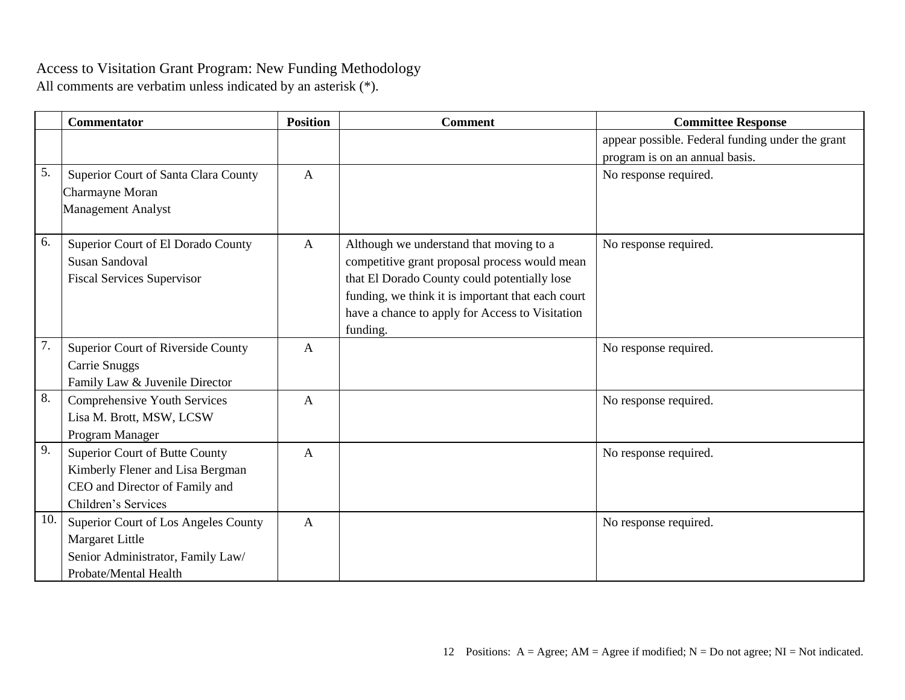|     | <b>Commentator</b>                   | <b>Position</b> | <b>Comment</b>                                    | <b>Committee Response</b>                        |
|-----|--------------------------------------|-----------------|---------------------------------------------------|--------------------------------------------------|
|     |                                      |                 |                                                   | appear possible. Federal funding under the grant |
|     |                                      |                 |                                                   | program is on an annual basis.                   |
| 5.  | Superior Court of Santa Clara County | $\overline{A}$  |                                                   | No response required.                            |
|     | Charmayne Moran                      |                 |                                                   |                                                  |
|     | <b>Management Analyst</b>            |                 |                                                   |                                                  |
|     |                                      |                 |                                                   |                                                  |
| 6.  | Superior Court of El Dorado County   | $\mathbf{A}$    | Although we understand that moving to a           | No response required.                            |
|     | <b>Susan Sandoval</b>                |                 | competitive grant proposal process would mean     |                                                  |
|     | <b>Fiscal Services Supervisor</b>    |                 | that El Dorado County could potentially lose      |                                                  |
|     |                                      |                 | funding, we think it is important that each court |                                                  |
|     |                                      |                 | have a chance to apply for Access to Visitation   |                                                  |
|     |                                      |                 | funding.                                          |                                                  |
| 7.  | Superior Court of Riverside County   | A               |                                                   | No response required.                            |
|     | <b>Carrie Snuggs</b>                 |                 |                                                   |                                                  |
|     | Family Law & Juvenile Director       |                 |                                                   |                                                  |
| 8.  | Comprehensive Youth Services         | A               |                                                   | No response required.                            |
|     | Lisa M. Brott, MSW, LCSW             |                 |                                                   |                                                  |
|     | Program Manager                      |                 |                                                   |                                                  |
| 9.  | Superior Court of Butte County       | $\mathbf{A}$    |                                                   | No response required.                            |
|     | Kimberly Flener and Lisa Bergman     |                 |                                                   |                                                  |
|     | CEO and Director of Family and       |                 |                                                   |                                                  |
|     | Children's Services                  |                 |                                                   |                                                  |
| 10. | Superior Court of Los Angeles County | $\mathbf{A}$    |                                                   | No response required.                            |
|     | <b>Margaret Little</b>               |                 |                                                   |                                                  |
|     | Senior Administrator, Family Law/    |                 |                                                   |                                                  |
|     | Probate/Mental Health                |                 |                                                   |                                                  |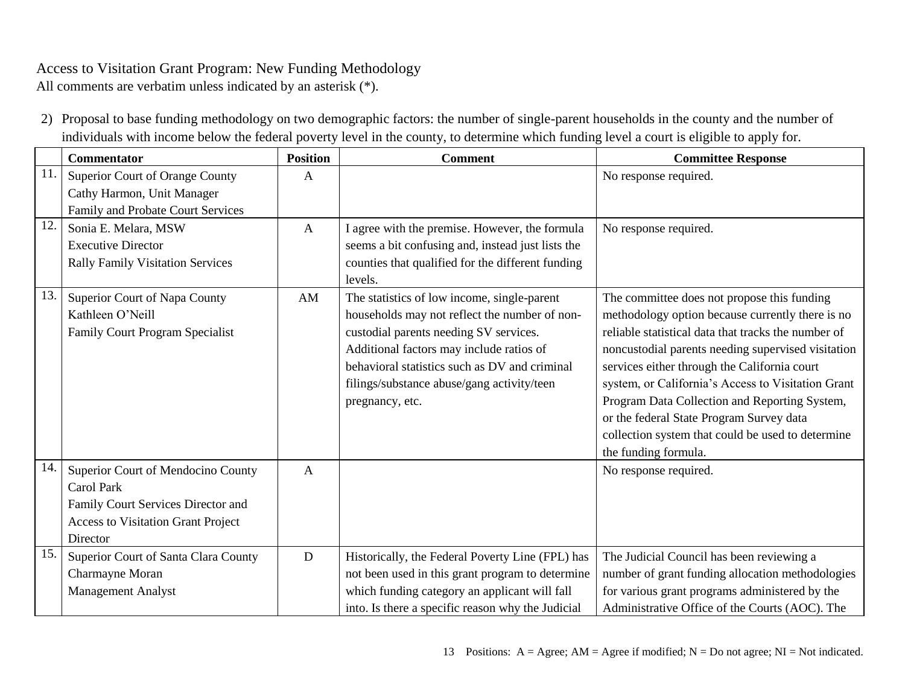All comments are verbatim unless indicated by an asterisk (\*).

2) Proposal to base funding methodology on two demographic factors: the number of single-parent households in the county and the number of individuals with income below the federal poverty level in the county, to determine which funding level a court is eligible to apply for.

|     | <b>Commentator</b>                                                                                                                                     | <b>Position</b> | <b>Comment</b>                                                                                                                                                                                                                                                                                       | <b>Committee Response</b>                                                                                                                                                                                                                                                                                                                                                                                                                                                                    |
|-----|--------------------------------------------------------------------------------------------------------------------------------------------------------|-----------------|------------------------------------------------------------------------------------------------------------------------------------------------------------------------------------------------------------------------------------------------------------------------------------------------------|----------------------------------------------------------------------------------------------------------------------------------------------------------------------------------------------------------------------------------------------------------------------------------------------------------------------------------------------------------------------------------------------------------------------------------------------------------------------------------------------|
| 11  | Superior Court of Orange County<br>Cathy Harmon, Unit Manager<br>Family and Probate Court Services                                                     | A               |                                                                                                                                                                                                                                                                                                      | No response required.                                                                                                                                                                                                                                                                                                                                                                                                                                                                        |
| 12. | Sonia E. Melara, MSW<br><b>Executive Director</b><br><b>Rally Family Visitation Services</b>                                                           | A               | I agree with the premise. However, the formula<br>seems a bit confusing and, instead just lists the<br>counties that qualified for the different funding<br>levels.                                                                                                                                  | No response required.                                                                                                                                                                                                                                                                                                                                                                                                                                                                        |
| 13. | Superior Court of Napa County<br>Kathleen O'Neill<br><b>Family Court Program Specialist</b>                                                            | AM              | The statistics of low income, single-parent<br>households may not reflect the number of non-<br>custodial parents needing SV services.<br>Additional factors may include ratios of<br>behavioral statistics such as DV and criminal<br>filings/substance abuse/gang activity/teen<br>pregnancy, etc. | The committee does not propose this funding<br>methodology option because currently there is no<br>reliable statistical data that tracks the number of<br>noncustodial parents needing supervised visitation<br>services either through the California court<br>system, or California's Access to Visitation Grant<br>Program Data Collection and Reporting System,<br>or the federal State Program Survey data<br>collection system that could be used to determine<br>the funding formula. |
| 14. | Superior Court of Mendocino County<br><b>Carol Park</b><br>Family Court Services Director and<br><b>Access to Visitation Grant Project</b><br>Director | A               |                                                                                                                                                                                                                                                                                                      | No response required.                                                                                                                                                                                                                                                                                                                                                                                                                                                                        |
| 15. | Superior Court of Santa Clara County<br>Charmayne Moran<br><b>Management Analyst</b>                                                                   | D               | Historically, the Federal Poverty Line (FPL) has<br>not been used in this grant program to determine<br>which funding category an applicant will fall<br>into. Is there a specific reason why the Judicial                                                                                           | The Judicial Council has been reviewing a<br>number of grant funding allocation methodologies<br>for various grant programs administered by the<br>Administrative Office of the Courts (AOC). The                                                                                                                                                                                                                                                                                            |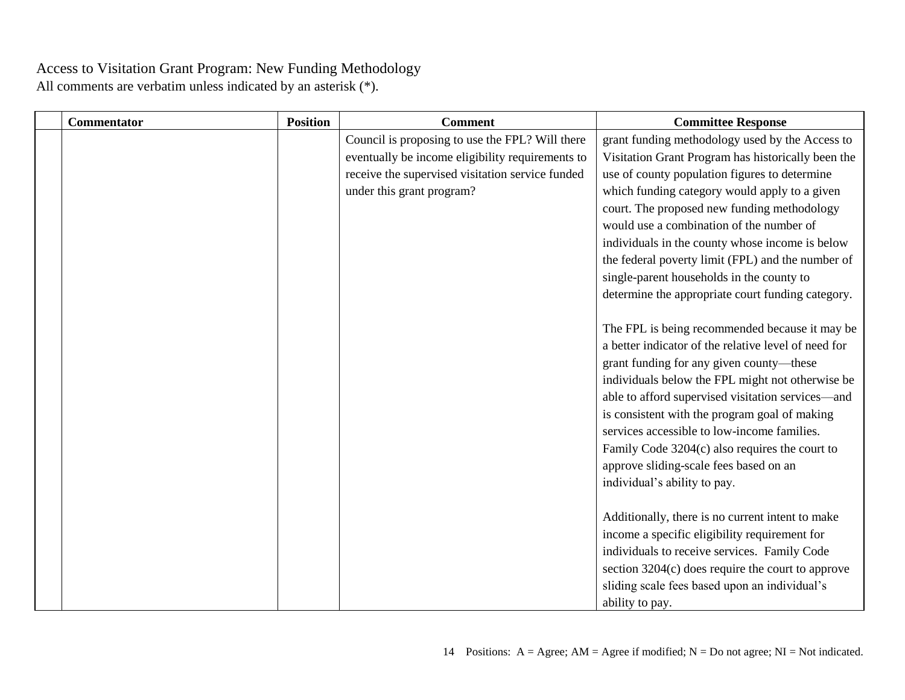| Commentator | <b>Position</b> | <b>Comment</b>                                   | <b>Committee Response</b>                            |
|-------------|-----------------|--------------------------------------------------|------------------------------------------------------|
|             |                 | Council is proposing to use the FPL? Will there  | grant funding methodology used by the Access to      |
|             |                 | eventually be income eligibility requirements to | Visitation Grant Program has historically been the   |
|             |                 | receive the supervised visitation service funded | use of county population figures to determine        |
|             |                 | under this grant program?                        | which funding category would apply to a given        |
|             |                 |                                                  | court. The proposed new funding methodology          |
|             |                 |                                                  | would use a combination of the number of             |
|             |                 |                                                  | individuals in the county whose income is below      |
|             |                 |                                                  | the federal poverty limit (FPL) and the number of    |
|             |                 |                                                  | single-parent households in the county to            |
|             |                 |                                                  | determine the appropriate court funding category.    |
|             |                 |                                                  |                                                      |
|             |                 |                                                  | The FPL is being recommended because it may be       |
|             |                 |                                                  | a better indicator of the relative level of need for |
|             |                 |                                                  | grant funding for any given county—these             |
|             |                 |                                                  | individuals below the FPL might not otherwise be     |
|             |                 |                                                  | able to afford supervised visitation services—and    |
|             |                 |                                                  | is consistent with the program goal of making        |
|             |                 |                                                  | services accessible to low-income families.          |
|             |                 |                                                  | Family Code 3204(c) also requires the court to       |
|             |                 |                                                  | approve sliding-scale fees based on an               |
|             |                 |                                                  | individual's ability to pay.                         |
|             |                 |                                                  |                                                      |
|             |                 |                                                  | Additionally, there is no current intent to make     |
|             |                 |                                                  | income a specific eligibility requirement for        |
|             |                 |                                                  | individuals to receive services. Family Code         |
|             |                 |                                                  | section $3204(c)$ does require the court to approve  |
|             |                 |                                                  | sliding scale fees based upon an individual's        |
|             |                 |                                                  | ability to pay.                                      |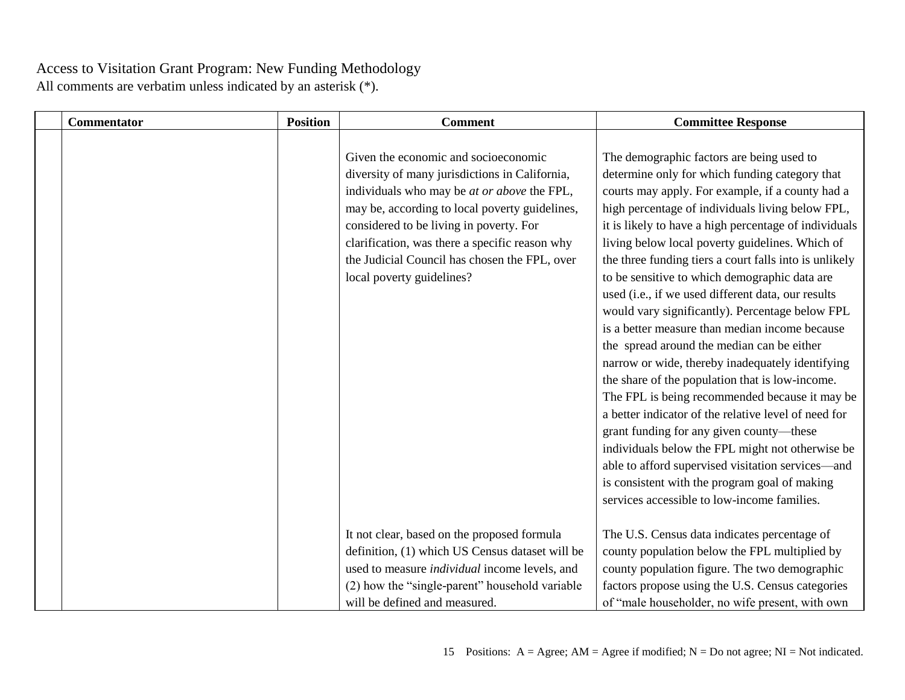| <b>Commentator</b> | <b>Position</b> | <b>Comment</b>                                                                                                                                                                                                                                                                                                                                                            | <b>Committee Response</b>                                                                                                                                                                                                                                                                                                                                                                                                                                                                                                                                                                                                                                                                                                                                                                                                                                                                                                                                                                                                                                                                                 |
|--------------------|-----------------|---------------------------------------------------------------------------------------------------------------------------------------------------------------------------------------------------------------------------------------------------------------------------------------------------------------------------------------------------------------------------|-----------------------------------------------------------------------------------------------------------------------------------------------------------------------------------------------------------------------------------------------------------------------------------------------------------------------------------------------------------------------------------------------------------------------------------------------------------------------------------------------------------------------------------------------------------------------------------------------------------------------------------------------------------------------------------------------------------------------------------------------------------------------------------------------------------------------------------------------------------------------------------------------------------------------------------------------------------------------------------------------------------------------------------------------------------------------------------------------------------|
|                    |                 | Given the economic and socioeconomic<br>diversity of many jurisdictions in California,<br>individuals who may be <i>at or above</i> the FPL,<br>may be, according to local poverty guidelines,<br>considered to be living in poverty. For<br>clarification, was there a specific reason why<br>the Judicial Council has chosen the FPL, over<br>local poverty guidelines? | The demographic factors are being used to<br>determine only for which funding category that<br>courts may apply. For example, if a county had a<br>high percentage of individuals living below FPL,<br>it is likely to have a high percentage of individuals<br>living below local poverty guidelines. Which of<br>the three funding tiers a court falls into is unlikely<br>to be sensitive to which demographic data are<br>used (i.e., if we used different data, our results<br>would vary significantly). Percentage below FPL<br>is a better measure than median income because<br>the spread around the median can be either<br>narrow or wide, thereby inadequately identifying<br>the share of the population that is low-income.<br>The FPL is being recommended because it may be<br>a better indicator of the relative level of need for<br>grant funding for any given county-these<br>individuals below the FPL might not otherwise be<br>able to afford supervised visitation services—and<br>is consistent with the program goal of making<br>services accessible to low-income families. |
|                    |                 | It not clear, based on the proposed formula<br>definition, (1) which US Census dataset will be<br>used to measure <i>individual</i> income levels, and                                                                                                                                                                                                                    | The U.S. Census data indicates percentage of<br>county population below the FPL multiplied by<br>county population figure. The two demographic                                                                                                                                                                                                                                                                                                                                                                                                                                                                                                                                                                                                                                                                                                                                                                                                                                                                                                                                                            |
|                    |                 | (2) how the "single-parent" household variable<br>will be defined and measured.                                                                                                                                                                                                                                                                                           | factors propose using the U.S. Census categories<br>of "male householder, no wife present, with own                                                                                                                                                                                                                                                                                                                                                                                                                                                                                                                                                                                                                                                                                                                                                                                                                                                                                                                                                                                                       |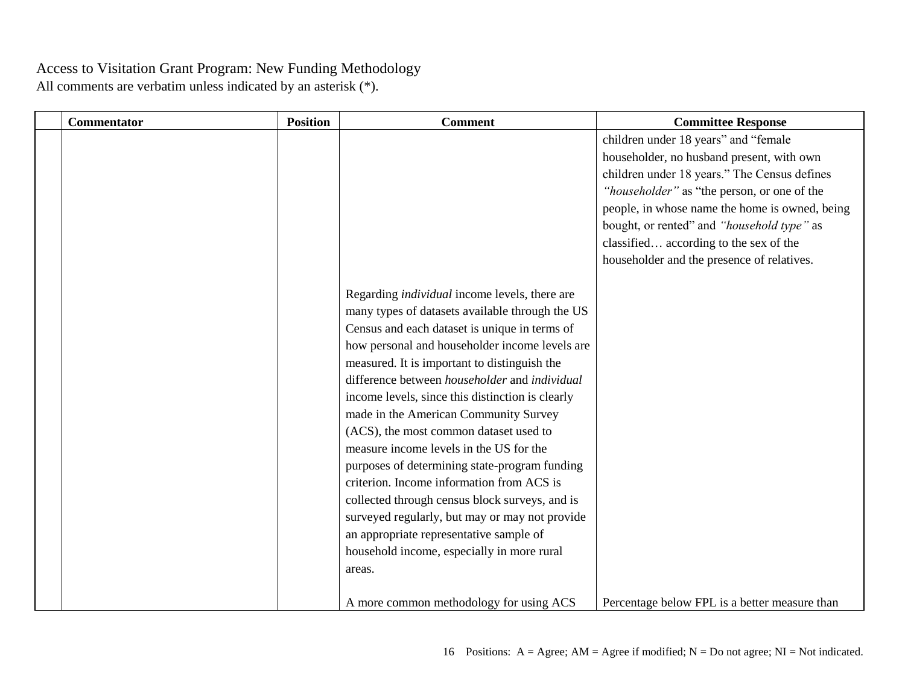| <b>Commentator</b> | <b>Position</b> | <b>Comment</b>                                                                                                                                                                                                                                                                                                                                                                                                                                                                                                                                                                                                                                                                                                                                                                                     | <b>Committee Response</b>                                                                                                                                                                                                                                                                                                                                                |
|--------------------|-----------------|----------------------------------------------------------------------------------------------------------------------------------------------------------------------------------------------------------------------------------------------------------------------------------------------------------------------------------------------------------------------------------------------------------------------------------------------------------------------------------------------------------------------------------------------------------------------------------------------------------------------------------------------------------------------------------------------------------------------------------------------------------------------------------------------------|--------------------------------------------------------------------------------------------------------------------------------------------------------------------------------------------------------------------------------------------------------------------------------------------------------------------------------------------------------------------------|
|                    |                 |                                                                                                                                                                                                                                                                                                                                                                                                                                                                                                                                                                                                                                                                                                                                                                                                    | children under 18 years" and "female<br>householder, no husband present, with own<br>children under 18 years." The Census defines<br>"householder" as "the person, or one of the<br>people, in whose name the home is owned, being<br>bought, or rented" and "household type" as<br>classified according to the sex of the<br>householder and the presence of relatives. |
|                    |                 | Regarding <i>individual</i> income levels, there are<br>many types of datasets available through the US<br>Census and each dataset is unique in terms of<br>how personal and householder income levels are<br>measured. It is important to distinguish the<br>difference between householder and individual<br>income levels, since this distinction is clearly<br>made in the American Community Survey<br>(ACS), the most common dataset used to<br>measure income levels in the US for the<br>purposes of determining state-program funding<br>criterion. Income information from ACS is<br>collected through census block surveys, and is<br>surveyed regularly, but may or may not provide<br>an appropriate representative sample of<br>household income, especially in more rural<br>areas. |                                                                                                                                                                                                                                                                                                                                                                          |
|                    |                 | A more common methodology for using ACS                                                                                                                                                                                                                                                                                                                                                                                                                                                                                                                                                                                                                                                                                                                                                            | Percentage below FPL is a better measure than                                                                                                                                                                                                                                                                                                                            |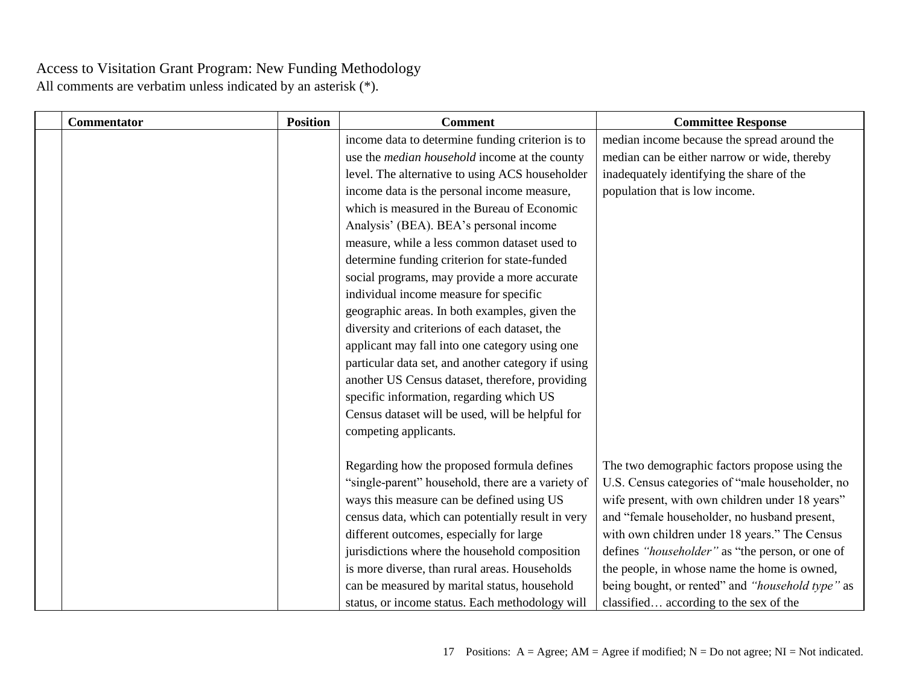| <b>Commentator</b> | <b>Position</b> | <b>Comment</b>                                       | <b>Committee Response</b>                        |
|--------------------|-----------------|------------------------------------------------------|--------------------------------------------------|
|                    |                 | income data to determine funding criterion is to     | median income because the spread around the      |
|                    |                 | use the <i>median household</i> income at the county | median can be either narrow or wide, thereby     |
|                    |                 | level. The alternative to using ACS householder      | inadequately identifying the share of the        |
|                    |                 | income data is the personal income measure,          | population that is low income.                   |
|                    |                 | which is measured in the Bureau of Economic          |                                                  |
|                    |                 | Analysis' (BEA). BEA's personal income               |                                                  |
|                    |                 | measure, while a less common dataset used to         |                                                  |
|                    |                 | determine funding criterion for state-funded         |                                                  |
|                    |                 | social programs, may provide a more accurate         |                                                  |
|                    |                 | individual income measure for specific               |                                                  |
|                    |                 | geographic areas. In both examples, given the        |                                                  |
|                    |                 | diversity and criterions of each dataset, the        |                                                  |
|                    |                 | applicant may fall into one category using one       |                                                  |
|                    |                 | particular data set, and another category if using   |                                                  |
|                    |                 | another US Census dataset, therefore, providing      |                                                  |
|                    |                 | specific information, regarding which US             |                                                  |
|                    |                 | Census dataset will be used, will be helpful for     |                                                  |
|                    |                 | competing applicants.                                |                                                  |
|                    |                 |                                                      |                                                  |
|                    |                 | Regarding how the proposed formula defines           | The two demographic factors propose using the    |
|                    |                 | "single-parent" household, there are a variety of    | U.S. Census categories of "male householder, no  |
|                    |                 | ways this measure can be defined using US            | wife present, with own children under 18 years"  |
|                    |                 | census data, which can potentially result in very    | and "female householder, no husband present,     |
|                    |                 | different outcomes, especially for large             | with own children under 18 years." The Census    |
|                    |                 | jurisdictions where the household composition        | defines "householder" as "the person, or one of  |
|                    |                 | is more diverse, than rural areas. Households        | the people, in whose name the home is owned,     |
|                    |                 | can be measured by marital status, household         | being bought, or rented" and "household type" as |
|                    |                 | status, or income status. Each methodology will      | classified according to the sex of the           |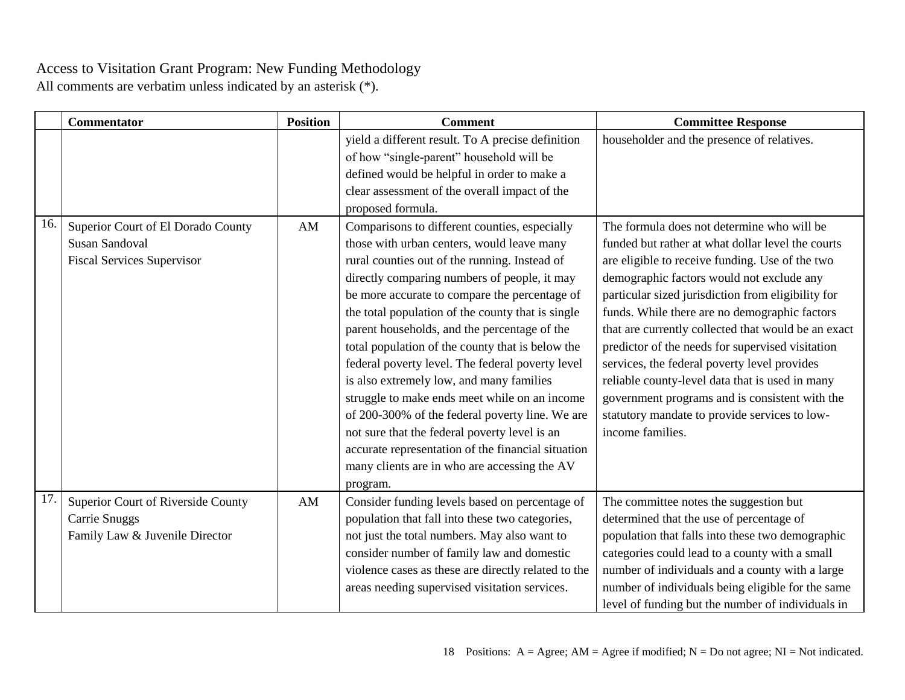|     | <b>Commentator</b>                                                                               | <b>Position</b>        | <b>Comment</b>                                                                                                                                                                                                                                                                                                                                                                                                                                                                                                                                                                                                                                                                                                                                                                | <b>Committee Response</b>                                                                                                                                                                                                                                                                                                                                                                                                                                                                                                                                                                                                                   |
|-----|--------------------------------------------------------------------------------------------------|------------------------|-------------------------------------------------------------------------------------------------------------------------------------------------------------------------------------------------------------------------------------------------------------------------------------------------------------------------------------------------------------------------------------------------------------------------------------------------------------------------------------------------------------------------------------------------------------------------------------------------------------------------------------------------------------------------------------------------------------------------------------------------------------------------------|---------------------------------------------------------------------------------------------------------------------------------------------------------------------------------------------------------------------------------------------------------------------------------------------------------------------------------------------------------------------------------------------------------------------------------------------------------------------------------------------------------------------------------------------------------------------------------------------------------------------------------------------|
|     |                                                                                                  |                        | yield a different result. To A precise definition<br>of how "single-parent" household will be<br>defined would be helpful in order to make a<br>clear assessment of the overall impact of the<br>proposed formula.                                                                                                                                                                                                                                                                                                                                                                                                                                                                                                                                                            | householder and the presence of relatives.                                                                                                                                                                                                                                                                                                                                                                                                                                                                                                                                                                                                  |
| 16. | Superior Court of El Dorado County<br><b>Susan Sandoval</b><br><b>Fiscal Services Supervisor</b> | AM                     | Comparisons to different counties, especially<br>those with urban centers, would leave many<br>rural counties out of the running. Instead of<br>directly comparing numbers of people, it may<br>be more accurate to compare the percentage of<br>the total population of the county that is single<br>parent households, and the percentage of the<br>total population of the county that is below the<br>federal poverty level. The federal poverty level<br>is also extremely low, and many families<br>struggle to make ends meet while on an income<br>of 200-300% of the federal poverty line. We are<br>not sure that the federal poverty level is an<br>accurate representation of the financial situation<br>many clients are in who are accessing the AV<br>program. | The formula does not determine who will be<br>funded but rather at what dollar level the courts<br>are eligible to receive funding. Use of the two<br>demographic factors would not exclude any<br>particular sized jurisdiction from eligibility for<br>funds. While there are no demographic factors<br>that are currently collected that would be an exact<br>predictor of the needs for supervised visitation<br>services, the federal poverty level provides<br>reliable county-level data that is used in many<br>government programs and is consistent with the<br>statutory mandate to provide services to low-<br>income families. |
| 17. | Superior Court of Riverside County<br><b>Carrie Snuggs</b><br>Family Law & Juvenile Director     | $\mathbf{A}\mathbf{M}$ | Consider funding levels based on percentage of<br>population that fall into these two categories,<br>not just the total numbers. May also want to<br>consider number of family law and domestic<br>violence cases as these are directly related to the<br>areas needing supervised visitation services.                                                                                                                                                                                                                                                                                                                                                                                                                                                                       | The committee notes the suggestion but<br>determined that the use of percentage of<br>population that falls into these two demographic<br>categories could lead to a county with a small<br>number of individuals and a county with a large<br>number of individuals being eligible for the same<br>level of funding but the number of individuals in                                                                                                                                                                                                                                                                                       |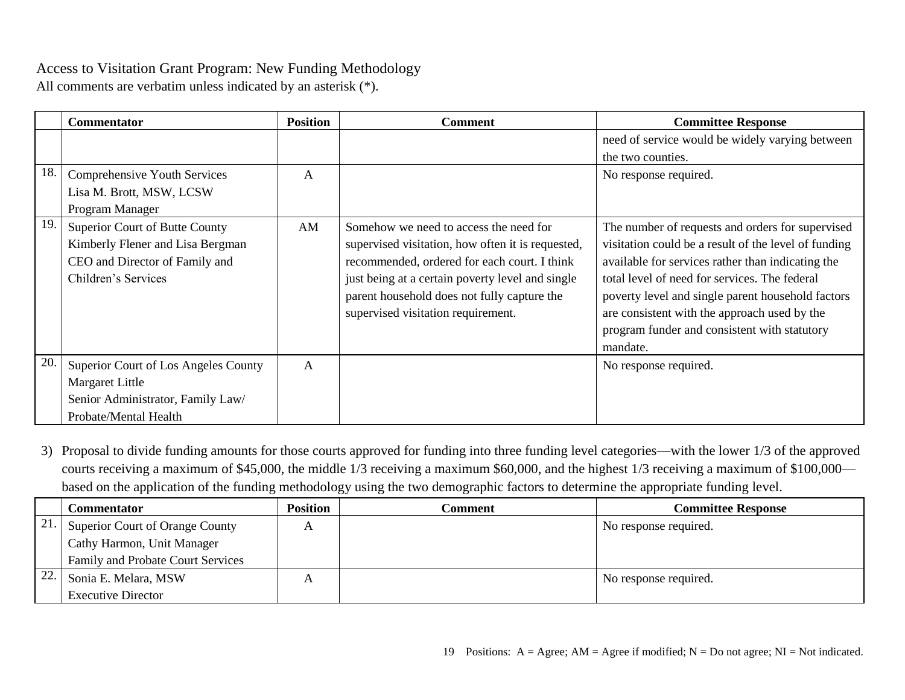All comments are verbatim unless indicated by an asterisk (\*).

|     | <b>Commentator</b>                   | <b>Position</b> | Comment                                           | <b>Committee Response</b>                            |
|-----|--------------------------------------|-----------------|---------------------------------------------------|------------------------------------------------------|
|     |                                      |                 |                                                   | need of service would be widely varying between      |
|     |                                      |                 |                                                   | the two counties.                                    |
| 18. | Comprehensive Youth Services         | $\mathbf{A}$    |                                                   | No response required.                                |
|     | Lisa M. Brott, MSW, LCSW             |                 |                                                   |                                                      |
|     | Program Manager                      |                 |                                                   |                                                      |
| 19. | Superior Court of Butte County       | AM              | Somehow we need to access the need for            | The number of requests and orders for supervised     |
|     | Kimberly Flener and Lisa Bergman     |                 | supervised visitation, how often it is requested, | visitation could be a result of the level of funding |
|     | CEO and Director of Family and       |                 | recommended, ordered for each court. I think      | available for services rather than indicating the    |
|     | Children's Services                  |                 | just being at a certain poverty level and single  | total level of need for services. The federal        |
|     |                                      |                 | parent household does not fully capture the       | poverty level and single parent household factors    |
|     |                                      |                 | supervised visitation requirement.                | are consistent with the approach used by the         |
|     |                                      |                 |                                                   | program funder and consistent with statutory         |
|     |                                      |                 |                                                   | mandate.                                             |
| 20  | Superior Court of Los Angeles County | $\mathbf{A}$    |                                                   | No response required.                                |
|     | <b>Margaret Little</b>               |                 |                                                   |                                                      |
|     | Senior Administrator, Family Law/    |                 |                                                   |                                                      |
|     | Probate/Mental Health                |                 |                                                   |                                                      |

3) Proposal to divide funding amounts for those courts approved for funding into three funding level categories—with the lower 1/3 of the approved courts receiving a maximum of \$45,000, the middle 1/3 receiving a maximum \$60,000, and the highest 1/3 receiving a maximum of \$100,000 based on the application of the funding methodology using the two demographic factors to determine the appropriate funding level.

|     | Commentator                              | Position | Comment | <b>Committee Response</b> |
|-----|------------------------------------------|----------|---------|---------------------------|
| 21. | Superior Court of Orange County          |          |         | No response required.     |
|     | Cathy Harmon, Unit Manager               |          |         |                           |
|     | <b>Family and Probate Court Services</b> |          |         |                           |
| 22. | Sonia E. Melara, MSW                     | A        |         | No response required.     |
|     | <b>Executive Director</b>                |          |         |                           |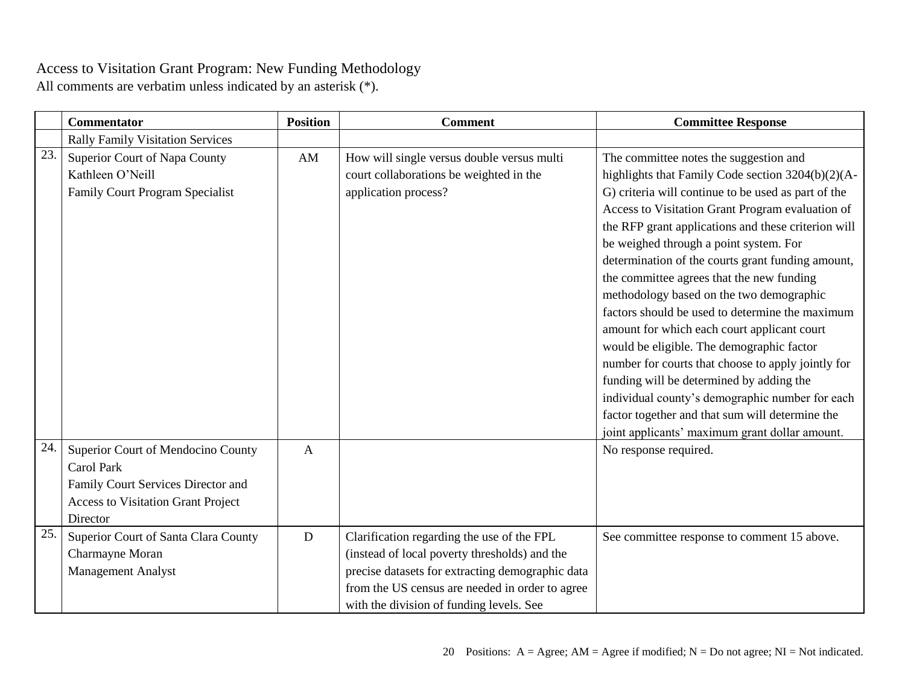|     | <b>Commentator</b>                                                                                                                              | <b>Position</b> | <b>Comment</b>                                                                                                                                                                                                                                 | <b>Committee Response</b>                                                                                                                                                                                                                                                                                                                                                                                                                                                                                                                                                                                                                                                                                                                                                                                                                                      |
|-----|-------------------------------------------------------------------------------------------------------------------------------------------------|-----------------|------------------------------------------------------------------------------------------------------------------------------------------------------------------------------------------------------------------------------------------------|----------------------------------------------------------------------------------------------------------------------------------------------------------------------------------------------------------------------------------------------------------------------------------------------------------------------------------------------------------------------------------------------------------------------------------------------------------------------------------------------------------------------------------------------------------------------------------------------------------------------------------------------------------------------------------------------------------------------------------------------------------------------------------------------------------------------------------------------------------------|
|     | <b>Rally Family Visitation Services</b>                                                                                                         |                 |                                                                                                                                                                                                                                                |                                                                                                                                                                                                                                                                                                                                                                                                                                                                                                                                                                                                                                                                                                                                                                                                                                                                |
| 23. | Superior Court of Napa County<br>Kathleen O'Neill<br>Family Court Program Specialist                                                            | AM              | How will single versus double versus multi<br>court collaborations be weighted in the<br>application process?                                                                                                                                  | The committee notes the suggestion and<br>highlights that Family Code section 3204(b)(2)(A-<br>G) criteria will continue to be used as part of the<br>Access to Visitation Grant Program evaluation of<br>the RFP grant applications and these criterion will<br>be weighed through a point system. For<br>determination of the courts grant funding amount,<br>the committee agrees that the new funding<br>methodology based on the two demographic<br>factors should be used to determine the maximum<br>amount for which each court applicant court<br>would be eligible. The demographic factor<br>number for courts that choose to apply jointly for<br>funding will be determined by adding the<br>individual county's demographic number for each<br>factor together and that sum will determine the<br>joint applicants' maximum grant dollar amount. |
| 24. | Superior Court of Mendocino County<br>Carol Park<br>Family Court Services Director and<br><b>Access to Visitation Grant Project</b><br>Director | $\mathbf{A}$    |                                                                                                                                                                                                                                                | No response required.                                                                                                                                                                                                                                                                                                                                                                                                                                                                                                                                                                                                                                                                                                                                                                                                                                          |
| 25. | Superior Court of Santa Clara County<br>Charmayne Moran<br><b>Management Analyst</b>                                                            | D               | Clarification regarding the use of the FPL<br>(instead of local poverty thresholds) and the<br>precise datasets for extracting demographic data<br>from the US census are needed in order to agree<br>with the division of funding levels. See | See committee response to comment 15 above.                                                                                                                                                                                                                                                                                                                                                                                                                                                                                                                                                                                                                                                                                                                                                                                                                    |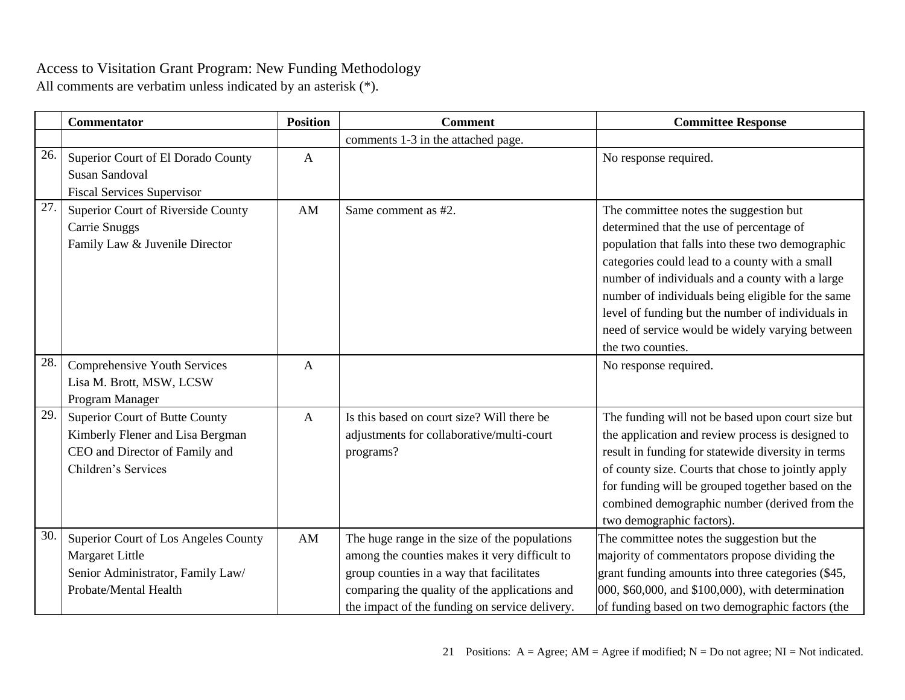|     | <b>Commentator</b>                                                                                                          | <b>Position</b> | <b>Comment</b>                                                                                                                                                                                                                                | <b>Committee Response</b>                                                                                                                                                                                                                                                                                                                                                                                                     |
|-----|-----------------------------------------------------------------------------------------------------------------------------|-----------------|-----------------------------------------------------------------------------------------------------------------------------------------------------------------------------------------------------------------------------------------------|-------------------------------------------------------------------------------------------------------------------------------------------------------------------------------------------------------------------------------------------------------------------------------------------------------------------------------------------------------------------------------------------------------------------------------|
|     |                                                                                                                             |                 | comments 1-3 in the attached page.                                                                                                                                                                                                            |                                                                                                                                                                                                                                                                                                                                                                                                                               |
| 26. | Superior Court of El Dorado County<br><b>Susan Sandoval</b><br><b>Fiscal Services Supervisor</b>                            | $\mathbf{A}$    |                                                                                                                                                                                                                                               | No response required.                                                                                                                                                                                                                                                                                                                                                                                                         |
| 27. | Superior Court of Riverside County<br>Carrie Snuggs<br>Family Law & Juvenile Director                                       | AM              | Same comment as #2.                                                                                                                                                                                                                           | The committee notes the suggestion but<br>determined that the use of percentage of<br>population that falls into these two demographic<br>categories could lead to a county with a small<br>number of individuals and a county with a large<br>number of individuals being eligible for the same<br>level of funding but the number of individuals in<br>need of service would be widely varying between<br>the two counties. |
| 28. | Comprehensive Youth Services<br>Lisa M. Brott, MSW, LCSW<br>Program Manager                                                 | A               |                                                                                                                                                                                                                                               | No response required.                                                                                                                                                                                                                                                                                                                                                                                                         |
| 29  | Superior Court of Butte County<br>Kimberly Flener and Lisa Bergman<br>CEO and Director of Family and<br>Children's Services | $\overline{A}$  | Is this based on court size? Will there be<br>adjustments for collaborative/multi-court<br>programs?                                                                                                                                          | The funding will not be based upon court size but<br>the application and review process is designed to<br>result in funding for statewide diversity in terms<br>of county size. Courts that chose to jointly apply<br>for funding will be grouped together based on the<br>combined demographic number (derived from the<br>two demographic factors).                                                                         |
| 30. | Superior Court of Los Angeles County<br>Margaret Little<br>Senior Administrator, Family Law/<br>Probate/Mental Health       | AM              | The huge range in the size of the populations<br>among the counties makes it very difficult to<br>group counties in a way that facilitates<br>comparing the quality of the applications and<br>the impact of the funding on service delivery. | The committee notes the suggestion but the<br>majority of commentators propose dividing the<br>grant funding amounts into three categories (\$45,<br>000, \$60,000, and \$100,000), with determination<br>of funding based on two demographic factors (the                                                                                                                                                                    |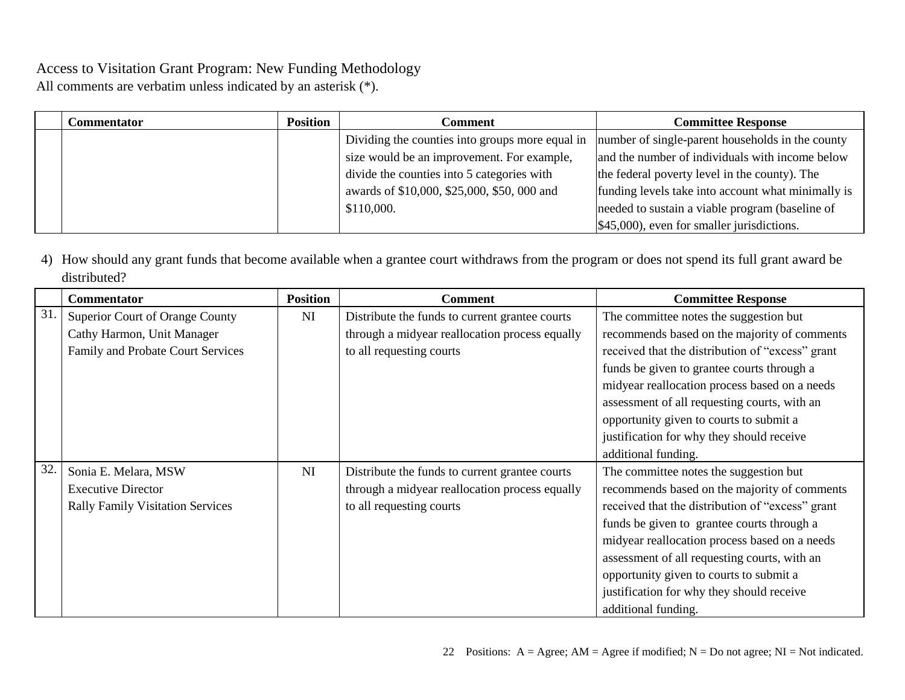All comments are verbatim unless indicated by an asterisk (\*).

| Commentator | <b>Position</b> | Comment                                         | <b>Committee Response</b>                          |
|-------------|-----------------|-------------------------------------------------|----------------------------------------------------|
|             |                 | Dividing the counties into groups more equal in | number of single-parent households in the county   |
|             |                 | size would be an improvement. For example,      | and the number of individuals with income below    |
|             |                 | divide the counties into 5 categories with      | the federal poverty level in the county). The      |
|             |                 | awards of \$10,000, \$25,000, \$50, 000 and     | funding levels take into account what minimally is |
|             |                 | \$110,000.                                      | needed to sustain a viable program (baseline of    |
|             |                 |                                                 | \$45,000), even for smaller jurisdictions.         |

4) How should any grant funds that become available when a grantee court withdraws from the program or does not spend its full grant award be distributed?

|     | <b>Commentator</b>                      | <b>Position</b> | Comment                                        | <b>Committee Response</b>                        |
|-----|-----------------------------------------|-----------------|------------------------------------------------|--------------------------------------------------|
| 31. | Superior Court of Orange County         | <b>NI</b>       | Distribute the funds to current grantee courts | The committee notes the suggestion but           |
|     | Cathy Harmon, Unit Manager              |                 | through a midyear reallocation process equally | recommends based on the majority of comments     |
|     | Family and Probate Court Services       |                 | to all requesting courts                       | received that the distribution of "excess" grant |
|     |                                         |                 |                                                | funds be given to grantee courts through a       |
|     |                                         |                 |                                                | midyear reallocation process based on a needs    |
|     |                                         |                 |                                                | assessment of all requesting courts, with an     |
|     |                                         |                 |                                                | opportunity given to courts to submit a          |
|     |                                         |                 |                                                | justification for why they should receive        |
|     |                                         |                 |                                                | additional funding.                              |
| 32. | Sonia E. Melara, MSW                    | <b>NI</b>       | Distribute the funds to current grantee courts | The committee notes the suggestion but           |
|     | <b>Executive Director</b>               |                 | through a midyear reallocation process equally | recommends based on the majority of comments     |
|     | <b>Rally Family Visitation Services</b> |                 | to all requesting courts                       | received that the distribution of "excess" grant |
|     |                                         |                 |                                                | funds be given to grantee courts through a       |
|     |                                         |                 |                                                | midyear reallocation process based on a needs    |
|     |                                         |                 |                                                | assessment of all requesting courts, with an     |
|     |                                         |                 |                                                | opportunity given to courts to submit a          |
|     |                                         |                 |                                                | justification for why they should receive        |
|     |                                         |                 |                                                | additional funding.                              |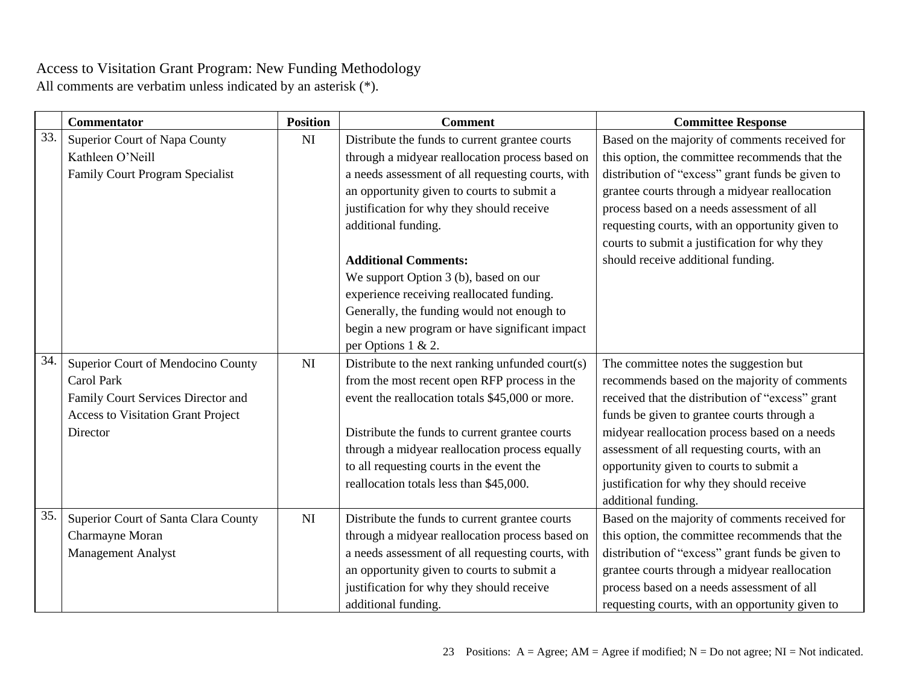|     | <b>Commentator</b>                        | <b>Position</b> | <b>Comment</b>                                    | <b>Committee Response</b>                        |
|-----|-------------------------------------------|-----------------|---------------------------------------------------|--------------------------------------------------|
| 33. | Superior Court of Napa County             | NI              | Distribute the funds to current grantee courts    | Based on the majority of comments received for   |
|     | Kathleen O'Neill                          |                 | through a midyear reallocation process based on   | this option, the committee recommends that the   |
|     | <b>Family Court Program Specialist</b>    |                 | a needs assessment of all requesting courts, with | distribution of "excess" grant funds be given to |
|     |                                           |                 | an opportunity given to courts to submit a        | grantee courts through a midyear reallocation    |
|     |                                           |                 | justification for why they should receive         | process based on a needs assessment of all       |
|     |                                           |                 | additional funding.                               | requesting courts, with an opportunity given to  |
|     |                                           |                 |                                                   | courts to submit a justification for why they    |
|     |                                           |                 | <b>Additional Comments:</b>                       | should receive additional funding.               |
|     |                                           |                 | We support Option 3 (b), based on our             |                                                  |
|     |                                           |                 | experience receiving reallocated funding.         |                                                  |
|     |                                           |                 | Generally, the funding would not enough to        |                                                  |
|     |                                           |                 | begin a new program or have significant impact    |                                                  |
|     |                                           |                 | per Options 1 & 2.                                |                                                  |
| 34. | Superior Court of Mendocino County        | NI              | Distribute to the next ranking unfunded court(s)  | The committee notes the suggestion but           |
|     | <b>Carol Park</b>                         |                 | from the most recent open RFP process in the      | recommends based on the majority of comments     |
|     | Family Court Services Director and        |                 | event the reallocation totals \$45,000 or more.   | received that the distribution of "excess" grant |
|     | <b>Access to Visitation Grant Project</b> |                 |                                                   | funds be given to grantee courts through a       |
|     | Director                                  |                 | Distribute the funds to current grantee courts    | midyear reallocation process based on a needs    |
|     |                                           |                 | through a midyear reallocation process equally    | assessment of all requesting courts, with an     |
|     |                                           |                 | to all requesting courts in the event the         | opportunity given to courts to submit a          |
|     |                                           |                 | reallocation totals less than \$45,000.           | justification for why they should receive        |
|     |                                           |                 |                                                   | additional funding.                              |
| 35. | Superior Court of Santa Clara County      | NI              | Distribute the funds to current grantee courts    | Based on the majority of comments received for   |
|     | Charmayne Moran                           |                 | through a midyear reallocation process based on   | this option, the committee recommends that the   |
|     | <b>Management Analyst</b>                 |                 | a needs assessment of all requesting courts, with | distribution of "excess" grant funds be given to |
|     |                                           |                 | an opportunity given to courts to submit a        | grantee courts through a midyear reallocation    |
|     |                                           |                 | justification for why they should receive         | process based on a needs assessment of all       |
|     |                                           |                 | additional funding.                               | requesting courts, with an opportunity given to  |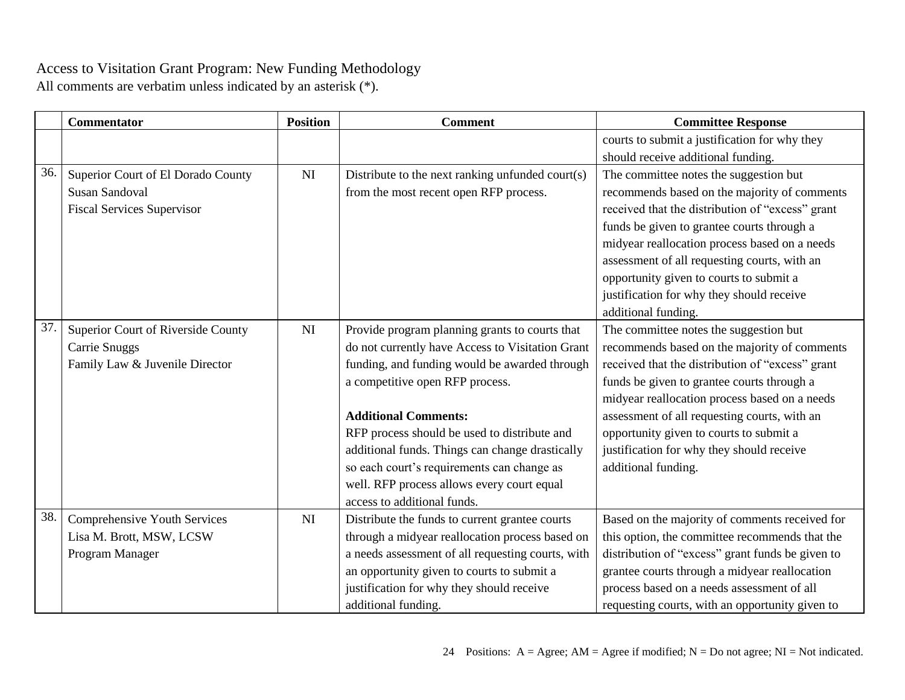|     | <b>Commentator</b>                 | <b>Position</b> | <b>Comment</b>                                    | <b>Committee Response</b>                        |
|-----|------------------------------------|-----------------|---------------------------------------------------|--------------------------------------------------|
|     |                                    |                 |                                                   | courts to submit a justification for why they    |
|     |                                    |                 |                                                   | should receive additional funding.               |
| 36. | Superior Court of El Dorado County | NI              | Distribute to the next ranking unfunded court(s)  | The committee notes the suggestion but           |
|     | <b>Susan Sandoval</b>              |                 | from the most recent open RFP process.            | recommends based on the majority of comments     |
|     | <b>Fiscal Services Supervisor</b>  |                 |                                                   | received that the distribution of "excess" grant |
|     |                                    |                 |                                                   | funds be given to grantee courts through a       |
|     |                                    |                 |                                                   | midyear reallocation process based on a needs    |
|     |                                    |                 |                                                   | assessment of all requesting courts, with an     |
|     |                                    |                 |                                                   | opportunity given to courts to submit a          |
|     |                                    |                 |                                                   | justification for why they should receive        |
|     |                                    |                 |                                                   | additional funding.                              |
| 37. | Superior Court of Riverside County | NI              | Provide program planning grants to courts that    | The committee notes the suggestion but           |
|     | Carrie Snuggs                      |                 | do not currently have Access to Visitation Grant  | recommends based on the majority of comments     |
|     | Family Law & Juvenile Director     |                 | funding, and funding would be awarded through     | received that the distribution of "excess" grant |
|     |                                    |                 | a competitive open RFP process.                   | funds be given to grantee courts through a       |
|     |                                    |                 |                                                   | midyear reallocation process based on a needs    |
|     |                                    |                 | <b>Additional Comments:</b>                       | assessment of all requesting courts, with an     |
|     |                                    |                 | RFP process should be used to distribute and      | opportunity given to courts to submit a          |
|     |                                    |                 | additional funds. Things can change drastically   | justification for why they should receive        |
|     |                                    |                 | so each court's requirements can change as        | additional funding.                              |
|     |                                    |                 | well. RFP process allows every court equal        |                                                  |
|     |                                    |                 | access to additional funds.                       |                                                  |
| 38. | Comprehensive Youth Services       | NI              | Distribute the funds to current grantee courts    | Based on the majority of comments received for   |
|     | Lisa M. Brott, MSW, LCSW           |                 | through a midyear reallocation process based on   | this option, the committee recommends that the   |
|     | Program Manager                    |                 | a needs assessment of all requesting courts, with | distribution of "excess" grant funds be given to |
|     |                                    |                 | an opportunity given to courts to submit a        | grantee courts through a midyear reallocation    |
|     |                                    |                 | justification for why they should receive         | process based on a needs assessment of all       |
|     |                                    |                 | additional funding.                               | requesting courts, with an opportunity given to  |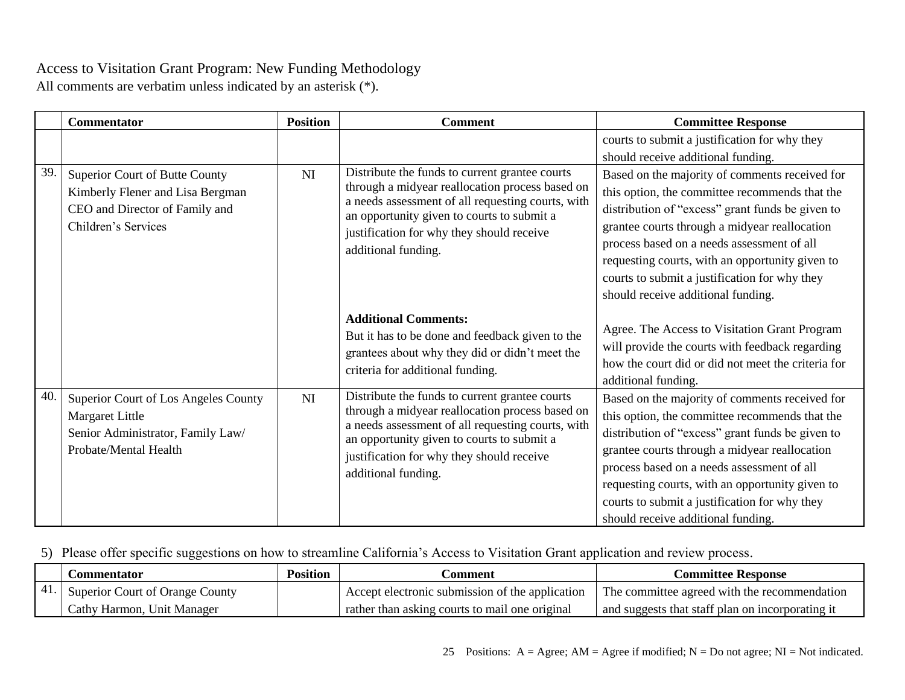All comments are verbatim unless indicated by an asterisk (\*).

|     | <b>Commentator</b>                                                                                                          | <b>Position</b> | <b>Comment</b>                                                                                                                                                                                                                                                           | <b>Committee Response</b>                                                                                                                                                                                                                                                                                                                                                                     |
|-----|-----------------------------------------------------------------------------------------------------------------------------|-----------------|--------------------------------------------------------------------------------------------------------------------------------------------------------------------------------------------------------------------------------------------------------------------------|-----------------------------------------------------------------------------------------------------------------------------------------------------------------------------------------------------------------------------------------------------------------------------------------------------------------------------------------------------------------------------------------------|
|     |                                                                                                                             |                 |                                                                                                                                                                                                                                                                          | courts to submit a justification for why they<br>should receive additional funding.                                                                                                                                                                                                                                                                                                           |
| 39. | Superior Court of Butte County<br>Kimberly Flener and Lisa Bergman<br>CEO and Director of Family and<br>Children's Services | NI              | Distribute the funds to current grantee courts<br>through a midyear reallocation process based on<br>a needs assessment of all requesting courts, with<br>an opportunity given to courts to submit a<br>justification for why they should receive<br>additional funding. | Based on the majority of comments received for<br>this option, the committee recommends that the<br>distribution of "excess" grant funds be given to<br>grantee courts through a midyear reallocation<br>process based on a needs assessment of all<br>requesting courts, with an opportunity given to<br>courts to submit a justification for why they<br>should receive additional funding. |
|     |                                                                                                                             |                 | <b>Additional Comments:</b><br>But it has to be done and feedback given to the<br>grantees about why they did or didn't meet the<br>criteria for additional funding.                                                                                                     | Agree. The Access to Visitation Grant Program<br>will provide the courts with feedback regarding<br>how the court did or did not meet the criteria for<br>additional funding.                                                                                                                                                                                                                 |
| 40. | Superior Court of Los Angeles County<br>Margaret Little<br>Senior Administrator, Family Law/<br>Probate/Mental Health       | NI              | Distribute the funds to current grantee courts<br>through a midyear reallocation process based on<br>a needs assessment of all requesting courts, with<br>an opportunity given to courts to submit a<br>justification for why they should receive<br>additional funding. | Based on the majority of comments received for<br>this option, the committee recommends that the<br>distribution of "excess" grant funds be given to<br>grantee courts through a midyear reallocation<br>process based on a needs assessment of all<br>requesting courts, with an opportunity given to<br>courts to submit a justification for why they<br>should receive additional funding. |

## 5) Please offer specific suggestions on how to streamline California's Access to Visitation Grant application and review process.

|        | ∴ommentator                     | <b>Position</b> | .'omment                                        | <b>Committee Response</b>                        |
|--------|---------------------------------|-----------------|-------------------------------------------------|--------------------------------------------------|
| $-41.$ | Superior Court of Orange County |                 | Accept electronic submission of the application | The committee agreed with the recommendation     |
|        | Cathy Harmon, Unit Manager      |                 | rather than asking courts to mail one original  | and suggests that staff plan on incorporating it |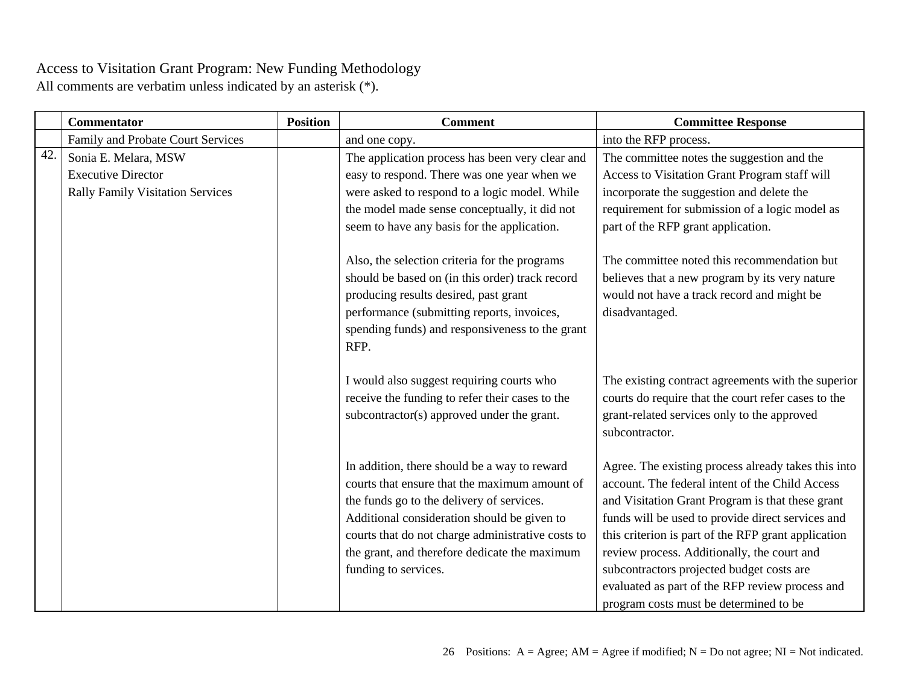|     | <b>Commentator</b>                                                                           | <b>Position</b> | <b>Comment</b>                                                                                                                                                                                                                                                                                                          | <b>Committee Response</b>                                                                                                                                                                                                                                                                                                                                                                                                                                       |
|-----|----------------------------------------------------------------------------------------------|-----------------|-------------------------------------------------------------------------------------------------------------------------------------------------------------------------------------------------------------------------------------------------------------------------------------------------------------------------|-----------------------------------------------------------------------------------------------------------------------------------------------------------------------------------------------------------------------------------------------------------------------------------------------------------------------------------------------------------------------------------------------------------------------------------------------------------------|
|     | Family and Probate Court Services                                                            |                 | and one copy.                                                                                                                                                                                                                                                                                                           | into the RFP process.                                                                                                                                                                                                                                                                                                                                                                                                                                           |
| 42. | Sonia E. Melara, MSW<br><b>Executive Director</b><br><b>Rally Family Visitation Services</b> |                 | The application process has been very clear and<br>easy to respond. There was one year when we<br>were asked to respond to a logic model. While<br>the model made sense conceptually, it did not<br>seem to have any basis for the application.                                                                         | The committee notes the suggestion and the<br>Access to Visitation Grant Program staff will<br>incorporate the suggestion and delete the<br>requirement for submission of a logic model as<br>part of the RFP grant application.                                                                                                                                                                                                                                |
|     |                                                                                              |                 | Also, the selection criteria for the programs<br>should be based on (in this order) track record<br>producing results desired, past grant<br>performance (submitting reports, invoices,<br>spending funds) and responsiveness to the grant<br>RFP.                                                                      | The committee noted this recommendation but<br>believes that a new program by its very nature<br>would not have a track record and might be<br>disadvantaged.                                                                                                                                                                                                                                                                                                   |
|     |                                                                                              |                 | I would also suggest requiring courts who<br>receive the funding to refer their cases to the<br>subcontractor(s) approved under the grant.                                                                                                                                                                              | The existing contract agreements with the superior<br>courts do require that the court refer cases to the<br>grant-related services only to the approved<br>subcontractor.                                                                                                                                                                                                                                                                                      |
|     |                                                                                              |                 | In addition, there should be a way to reward<br>courts that ensure that the maximum amount of<br>the funds go to the delivery of services.<br>Additional consideration should be given to<br>courts that do not charge administrative costs to<br>the grant, and therefore dedicate the maximum<br>funding to services. | Agree. The existing process already takes this into<br>account. The federal intent of the Child Access<br>and Visitation Grant Program is that these grant<br>funds will be used to provide direct services and<br>this criterion is part of the RFP grant application<br>review process. Additionally, the court and<br>subcontractors projected budget costs are<br>evaluated as part of the RFP review process and<br>program costs must be determined to be |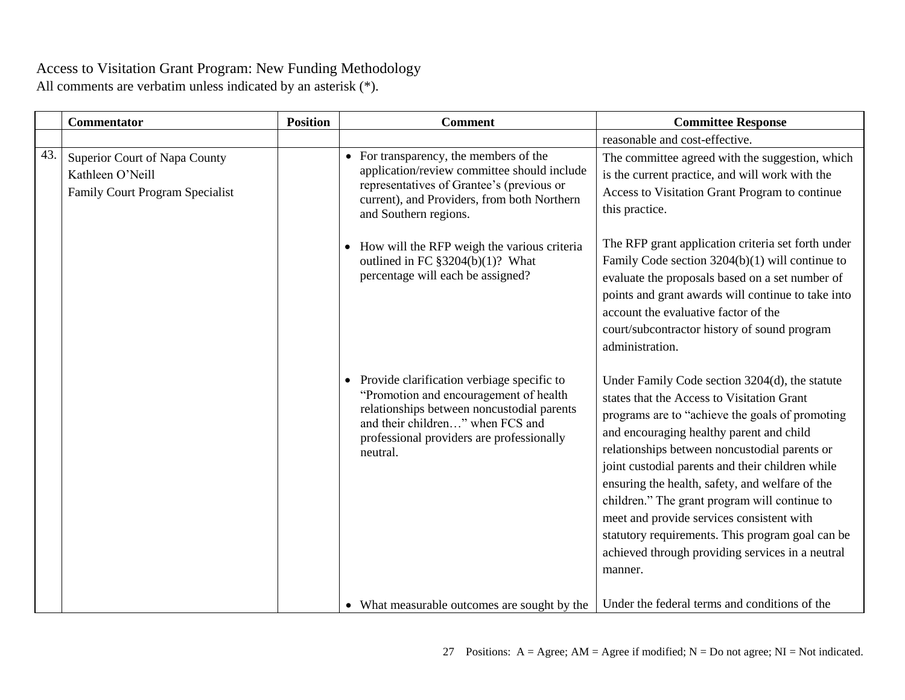|     | <b>Commentator</b>                                                                          | <b>Position</b> | <b>Comment</b>                                                                                                                                                                                                                    | <b>Committee Response</b>                                                                                                                                                                                                                                                                                                                                                                                                                                                                                                                                            |
|-----|---------------------------------------------------------------------------------------------|-----------------|-----------------------------------------------------------------------------------------------------------------------------------------------------------------------------------------------------------------------------------|----------------------------------------------------------------------------------------------------------------------------------------------------------------------------------------------------------------------------------------------------------------------------------------------------------------------------------------------------------------------------------------------------------------------------------------------------------------------------------------------------------------------------------------------------------------------|
|     |                                                                                             |                 |                                                                                                                                                                                                                                   | reasonable and cost-effective.                                                                                                                                                                                                                                                                                                                                                                                                                                                                                                                                       |
| 43. | Superior Court of Napa County<br>Kathleen O'Neill<br><b>Family Court Program Specialist</b> |                 | • For transparency, the members of the<br>application/review committee should include<br>representatives of Grantee's (previous or<br>current), and Providers, from both Northern<br>and Southern regions.                        | The committee agreed with the suggestion, which<br>is the current practice, and will work with the<br>Access to Visitation Grant Program to continue<br>this practice.                                                                                                                                                                                                                                                                                                                                                                                               |
|     |                                                                                             |                 | How will the RFP weigh the various criteria<br>$\bullet$<br>outlined in FC §3204(b)(1)? What<br>percentage will each be assigned?                                                                                                 | The RFP grant application criteria set forth under<br>Family Code section $3204(b)(1)$ will continue to<br>evaluate the proposals based on a set number of<br>points and grant awards will continue to take into<br>account the evaluative factor of the<br>court/subcontractor history of sound program<br>administration.                                                                                                                                                                                                                                          |
|     |                                                                                             |                 | • Provide clarification verbiage specific to<br>"Promotion and encouragement of health<br>relationships between noncustodial parents<br>and their children" when FCS and<br>professional providers are professionally<br>neutral. | Under Family Code section 3204(d), the statute<br>states that the Access to Visitation Grant<br>programs are to "achieve the goals of promoting<br>and encouraging healthy parent and child<br>relationships between noncustodial parents or<br>joint custodial parents and their children while<br>ensuring the health, safety, and welfare of the<br>children." The grant program will continue to<br>meet and provide services consistent with<br>statutory requirements. This program goal can be<br>achieved through providing services in a neutral<br>manner. |
|     |                                                                                             |                 | • What measurable outcomes are sought by the                                                                                                                                                                                      | Under the federal terms and conditions of the                                                                                                                                                                                                                                                                                                                                                                                                                                                                                                                        |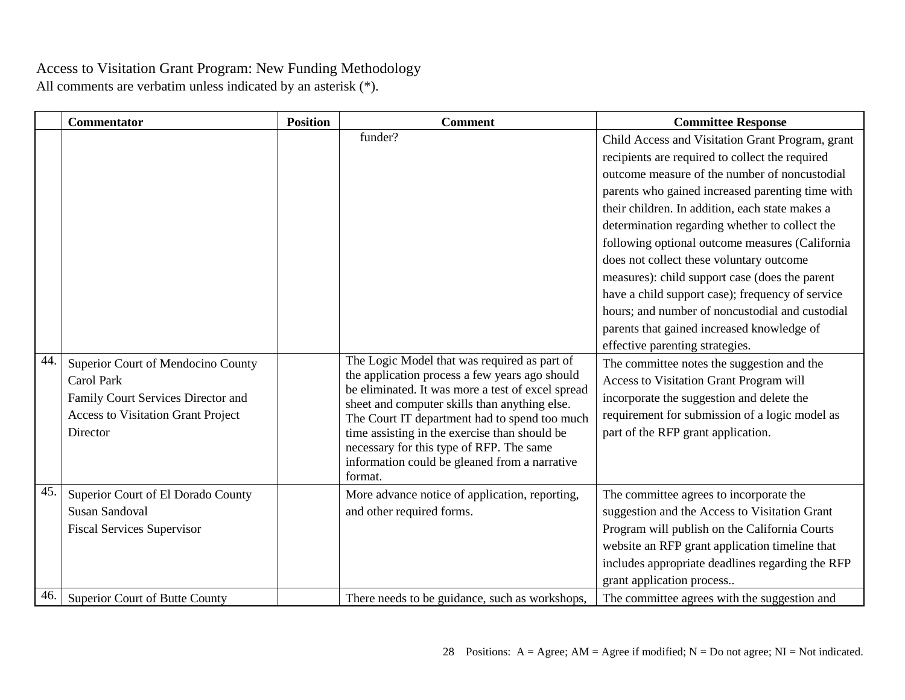|     | <b>Commentator</b>                                                                                                                         | <b>Position</b> | <b>Comment</b>                                                                                                                                                                                                                                                   | <b>Committee Response</b>                                                                                                                                                                                                                                                                                                                                                                                                                                                                                                                                                                                                                                                                                                                                                                                                                      |
|-----|--------------------------------------------------------------------------------------------------------------------------------------------|-----------------|------------------------------------------------------------------------------------------------------------------------------------------------------------------------------------------------------------------------------------------------------------------|------------------------------------------------------------------------------------------------------------------------------------------------------------------------------------------------------------------------------------------------------------------------------------------------------------------------------------------------------------------------------------------------------------------------------------------------------------------------------------------------------------------------------------------------------------------------------------------------------------------------------------------------------------------------------------------------------------------------------------------------------------------------------------------------------------------------------------------------|
| 44. | Superior Court of Mendocino County<br><b>Carol Park</b><br>Family Court Services Director and<br><b>Access to Visitation Grant Project</b> |                 | funder?<br>The Logic Model that was required as part of<br>the application process a few years ago should<br>be eliminated. It was more a test of excel spread<br>sheet and computer skills than anything else.<br>The Court IT department had to spend too much | Child Access and Visitation Grant Program, grant<br>recipients are required to collect the required<br>outcome measure of the number of noncustodial<br>parents who gained increased parenting time with<br>their children. In addition, each state makes a<br>determination regarding whether to collect the<br>following optional outcome measures (California<br>does not collect these voluntary outcome<br>measures): child support case (does the parent<br>have a child support case); frequency of service<br>hours; and number of noncustodial and custodial<br>parents that gained increased knowledge of<br>effective parenting strategies.<br>The committee notes the suggestion and the<br>Access to Visitation Grant Program will<br>incorporate the suggestion and delete the<br>requirement for submission of a logic model as |
|     | Director                                                                                                                                   |                 | time assisting in the exercise than should be<br>necessary for this type of RFP. The same<br>information could be gleaned from a narrative<br>format.                                                                                                            | part of the RFP grant application.                                                                                                                                                                                                                                                                                                                                                                                                                                                                                                                                                                                                                                                                                                                                                                                                             |
| 45. | Superior Court of El Dorado County<br><b>Susan Sandoval</b><br><b>Fiscal Services Supervisor</b>                                           |                 | More advance notice of application, reporting,<br>and other required forms.                                                                                                                                                                                      | The committee agrees to incorporate the<br>suggestion and the Access to Visitation Grant<br>Program will publish on the California Courts<br>website an RFP grant application timeline that<br>includes appropriate deadlines regarding the RFP<br>grant application process                                                                                                                                                                                                                                                                                                                                                                                                                                                                                                                                                                   |
| 46. | Superior Court of Butte County                                                                                                             |                 | There needs to be guidance, such as workshops,                                                                                                                                                                                                                   | The committee agrees with the suggestion and                                                                                                                                                                                                                                                                                                                                                                                                                                                                                                                                                                                                                                                                                                                                                                                                   |